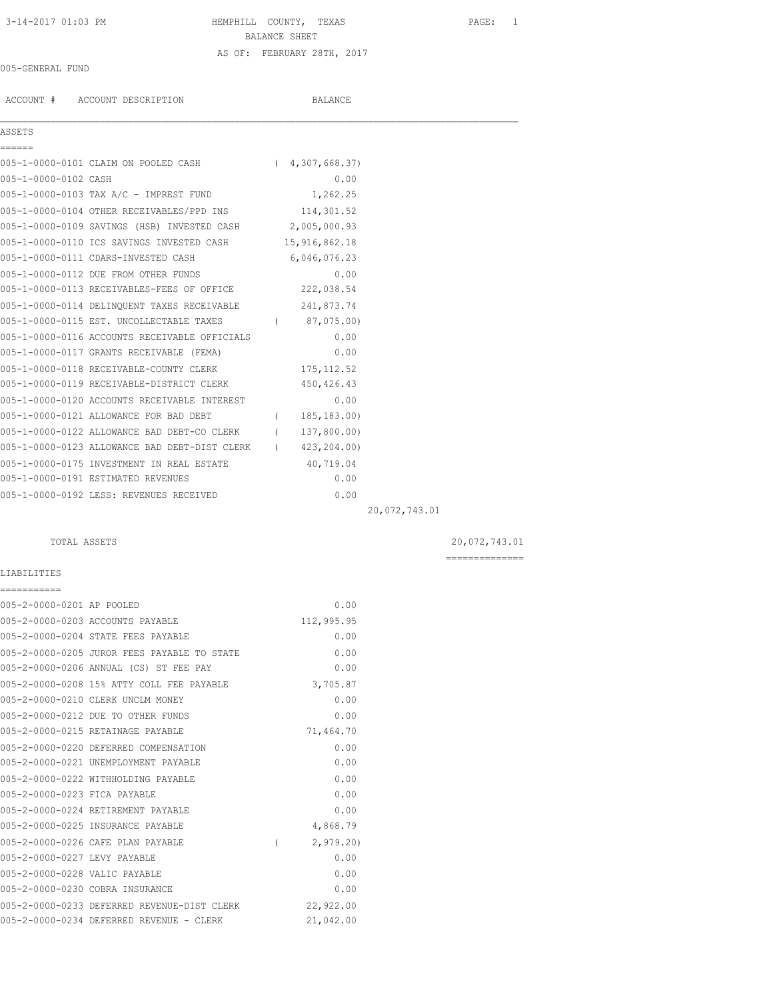## 3-14-2017 01:03 PM  $HEMPHILL$  COUNTY, TEXAS PAGE: 1<br>BALANCE SHEET BALANCE SHEET AS OF: FEBRUARY 28TH, 2017

## 005-GENERAL FUND

ACCOUNT # ACCOUNT DESCRIPTION BALANCE

 $\mathcal{L}_\mathcal{L} = \mathcal{L}_\mathcal{L}$ 

| ں ⊥ ⊔ں ں ہ           |                                                            |                   |               |
|----------------------|------------------------------------------------------------|-------------------|---------------|
| ======               |                                                            |                   |               |
|                      | 005-1-0000-0101 CLAIM ON POOLED CASH                       | (4, 307, 668, 37) |               |
| 005-1-0000-0102 CASH |                                                            | 0.00              |               |
|                      | 005-1-0000-0103 TAX A/C - IMPREST FUND                     | 1,262.25          |               |
|                      | 005-1-0000-0104 OTHER RECEIVABLES/PPD INS 114,301.52       |                   |               |
|                      | 005-1-0000-0109 SAVINGS (HSB) INVESTED CASH 2,005,000.93   |                   |               |
|                      | 005-1-0000-0110 ICS SAVINGS INVESTED CASH 15,916,862.18    |                   |               |
|                      | 005-1-0000-0111 CDARS-INVESTED CASH                        | 6,046,076.23      |               |
|                      | 005-1-0000-0112 DUE FROM OTHER FUNDS                       | 0.00              |               |
|                      | 005-1-0000-0113 RECEIVABLES-FEES OF OFFICE                 | 222,038.54        |               |
|                      | 005-1-0000-0114 DELINQUENT TAXES RECEIVABLE 241,873.74     |                   |               |
|                      | 005-1-0000-0115 EST. UNCOLLECTABLE TAXES (87,075.00)       |                   |               |
|                      | 005-1-0000-0116 ACCOUNTS RECEIVABLE OFFICIALS              | 0.00              |               |
|                      | 005-1-0000-0117 GRANTS RECEIVABLE (FEMA)                   | 0.00              |               |
|                      | 005-1-0000-0118 RECEIVABLE-COUNTY CLERK                    | 175, 112.52       |               |
|                      | 005-1-0000-0119 RECEIVABLE-DISTRICT CLERK 450,426.43       |                   |               |
|                      | 005-1-0000-0120 ACCOUNTS RECEIVABLE INTEREST               | 0.00              |               |
|                      | 005-1-0000-0121 ALLOWANCE FOR BAD DEBT                     | (185, 183, 00)    |               |
|                      | 005-1-0000-0122 ALLOWANCE BAD DEBT-CO CLERK                | (137, 800.00)     |               |
|                      | 005-1-0000-0123 ALLOWANCE BAD DEBT-DIST CLERK (423,204.00) |                   |               |
|                      | 005-1-0000-0175 INVESTMENT IN REAL ESTATE 40,719.04        |                   |               |
|                      | 005-1-0000-0191 ESTIMATED REVENUES                         | 0.00              |               |
|                      | 005-1-0000-0192 LESS: REVENUES RECEIVED                    | 0.00              |               |
|                      |                                                            |                   | 20,072,743.01 |

 TOTAL ASSETS 20,072,743.01 ==============

# LIABILITIES

| ===========                   |                                             |          |            |
|-------------------------------|---------------------------------------------|----------|------------|
| 005-2-0000-0201 AP POOLED     |                                             |          | 0.00       |
|                               | 005-2-0000-0203 ACCOUNTS PAYABLE            |          | 112,995.95 |
|                               | 005-2-0000-0204 STATE FEES PAYABLE          |          | 0.00       |
|                               | 005-2-0000-0205 JUROR FEES PAYABLE TO STATE |          | 0.00       |
|                               | 005-2-0000-0206 ANNUAL (CS) ST FEE PAY      |          | 0.00       |
|                               | 005-2-0000-0208 15% ATTY COLL FEE PAYABLE   |          | 3,705.87   |
|                               | 005-2-0000-0210 CLERK UNCLM MONEY           |          | 0.00       |
|                               | 005-2-0000-0212 DUE TO OTHER FUNDS          |          | 0.00       |
|                               | 005-2-0000-0215 RETAINAGE PAYABLE           |          | 71,464.70  |
|                               | 005-2-0000-0220 DEFERRED COMPENSATION       |          | 0.00       |
|                               | 005-2-0000-0221 UNEMPLOYMENT PAYABLE        |          | 0.00       |
|                               | 005-2-0000-0222 WITHHOLDING PAYABLE         |          | 0.00       |
| 005-2-0000-0223 FICA PAYABLE  |                                             |          | 0.00       |
|                               | 005-2-0000-0224 RETIREMENT PAYABLE          |          | 0.00       |
|                               | 005-2-0000-0225 INSURANCE PAYABLE           |          | 4,868.79   |
|                               | 005-2-0000-0226 CAFE PLAN PAYABLE           | $\left($ | 2,979.20   |
| 005-2-0000-0227 LEVY PAYABLE  |                                             |          | 0.00       |
| 005-2-0000-0228 VALIC PAYABLE |                                             |          | 0.00       |
|                               | 005-2-0000-0230 COBRA INSURANCE             |          | 0.00       |
|                               | 005-2-0000-0233 DEFERRED REVENUE-DIST CLERK |          | 22,922.00  |
|                               | 005-2-0000-0234 DEFERRED REVENUE - CLERK    |          | 21,042.00  |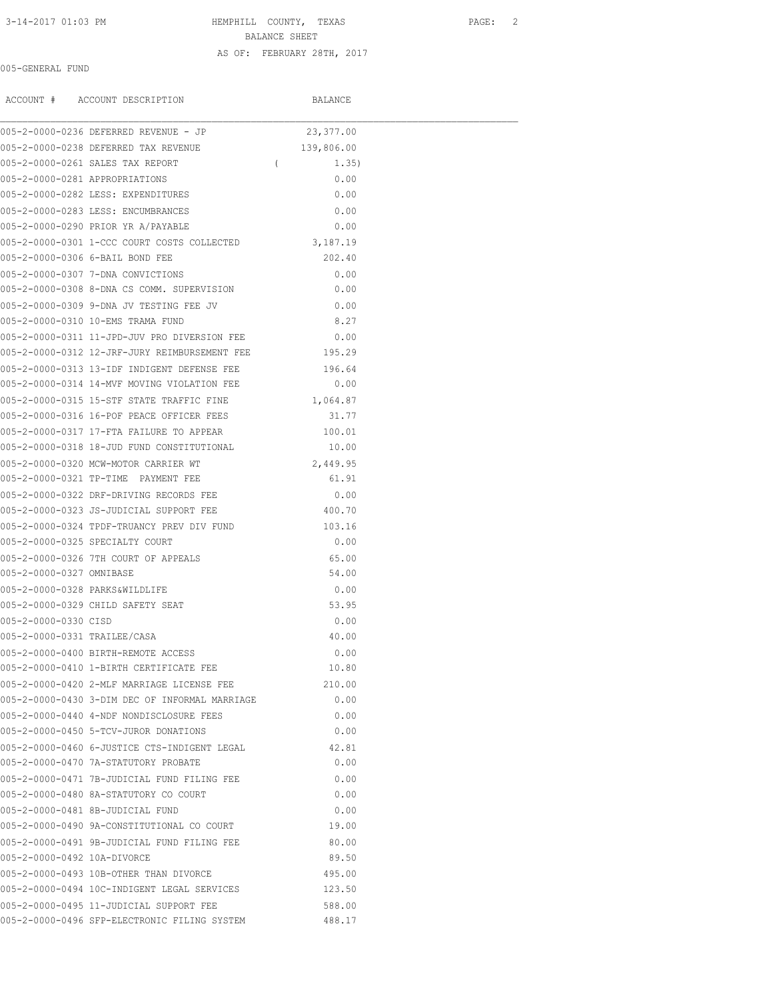#### 3-14-2017 01:03 PM HEMPHILL COUNTY, TEXAS PAGE: 2

BALANCE SHEET

#### AS OF: FEBRUARY 28TH, 2017

005-GENERAL FUND

|                              | ACCOUNT # ACCOUNT DESCRIPTION                                                  |            | BALANCE       |  |
|------------------------------|--------------------------------------------------------------------------------|------------|---------------|--|
|                              | 005-2-0000-0236 DEFERRED REVENUE - JP                                          |            | 23,377.00     |  |
|                              | 005-2-0000-0238 DEFERRED TAX REVENUE                                           |            | 139,806.00    |  |
|                              | 005-2-0000-0261 SALES TAX REPORT                                               | $\sqrt{2}$ | 1.35)         |  |
|                              | 005-2-0000-0281 APPROPRIATIONS                                                 |            | 0.00          |  |
|                              | 005-2-0000-0282 LESS: EXPENDITURES                                             |            | 0.00          |  |
|                              | 005-2-0000-0283 LESS: ENCUMBRANCES                                             |            | 0.00          |  |
|                              | 005-2-0000-0290 PRIOR YR A/PAYABLE                                             |            | 0.00          |  |
|                              | 005-2-0000-0301 1-CCC COURT COSTS COLLECTED                                    |            | 3,187.19      |  |
|                              | 005-2-0000-0306 6-BAIL BOND FEE                                                |            | 202.40        |  |
|                              | 005-2-0000-0307 7-DNA CONVICTIONS                                              |            | 0.00          |  |
|                              | 005-2-0000-0308 8-DNA CS COMM. SUPERVISION                                     |            | 0.00          |  |
|                              | 005-2-0000-0309 9-DNA JV TESTING FEE JV                                        |            | 0.00          |  |
|                              | 005-2-0000-0310 10-EMS TRAMA FUND                                              |            | 8.27          |  |
|                              | 005-2-0000-0311 11-JPD-JUV PRO DIVERSION FEE                                   |            | 0.00          |  |
|                              | 005-2-0000-0312 12-JRF-JURY REIMBURSEMENT FEE 195.29                           |            |               |  |
|                              | 005-2-0000-0313 13-IDF INDIGENT DEFENSE FEE                                    |            | 196.64        |  |
|                              | 005-2-0000-0314 14-MVF MOVING VIOLATION FEE                                    |            | 0.00          |  |
|                              | 005-2-0000-0315 15-STF STATE TRAFFIC FINE                                      |            | 1,064.87      |  |
|                              | 005-2-0000-0316 16-POF PEACE OFFICER FEES                                      |            | 31.77         |  |
|                              | 005-2-0000-0317 17-FTA FAILURE TO APPEAR                                       |            | 100.01        |  |
|                              | 005-2-0000-0318 18-JUD FUND CONSTITUTIONAL                                     |            | 10.00         |  |
|                              | 005-2-0000-0320 MCW-MOTOR CARRIER WT                                           |            | 2,449.95      |  |
|                              | 005-2-0000-0321 TP-TIME PAYMENT FEE                                            |            | 61.91         |  |
|                              | 005-2-0000-0322 DRF-DRIVING RECORDS FEE                                        |            | 0.00          |  |
|                              | 005-2-0000-0323 JS-JUDICIAL SUPPORT FEE                                        |            | 400.70        |  |
|                              | 005-2-0000-0324 TPDF-TRUANCY PREV DIV FUND                                     |            | 103.16        |  |
|                              | 005-2-0000-0325 SPECIALTY COURT                                                |            | 0.00          |  |
|                              | 005-2-0000-0326 7TH COURT OF APPEALS                                           |            | 65.00         |  |
| 005-2-0000-0327 OMNIBASE     |                                                                                |            | 54.00         |  |
|                              | 005-2-0000-0328 PARKS&WILDLIFE                                                 |            | 0.00          |  |
|                              | 005-2-0000-0329 CHILD SAFETY SEAT                                              |            | 53.95         |  |
| 005-2-0000-0330 CISD         |                                                                                |            | 0.00          |  |
| 005-2-0000-0331 TRAILEE/CASA |                                                                                |            | 40.00         |  |
|                              | 005-2-0000-0400 BIRTH-REMOTE ACCESS                                            |            | 0.00          |  |
|                              | 005-2-0000-0410 1-BIRTH CERTIFICATE FEE                                        |            | 10.80         |  |
|                              | 005-2-0000-0420 2-MLF MARRIAGE LICENSE FEE                                     |            | 210.00        |  |
|                              | 005-2-0000-0430 3-DIM DEC OF INFORMAL MARRIAGE                                 |            | 0.00          |  |
|                              | 005-2-0000-0440 4-NDF NONDISCLOSURE FEES                                       |            | 0.00          |  |
|                              | 005-2-0000-0450 5-TCV-JUROR DONATIONS                                          |            | 0.00          |  |
|                              | 005-2-0000-0460 6-JUSTICE CTS-INDIGENT LEGAL                                   |            | 42.81         |  |
|                              | 005-2-0000-0470 7A-STATUTORY PROBATE                                           |            | 0.00          |  |
|                              | 005-2-0000-0471 7B-JUDICIAL FUND FILING FEE                                    |            | 0.00          |  |
|                              | 005-2-0000-0480 8A-STATUTORY CO COURT                                          |            | 0.00          |  |
|                              |                                                                                |            |               |  |
|                              | 005-2-0000-0481 8B-JUDICIAL FUND<br>005-2-0000-0490 9A-CONSTITUTIONAL CO COURT |            | 0.00<br>19.00 |  |
|                              |                                                                                |            |               |  |
|                              | 005-2-0000-0491 9B-JUDICIAL FUND FILING FEE                                    |            | 80.00         |  |
| 005-2-0000-0492 10A-DIVORCE  |                                                                                |            | 89.50         |  |
|                              | 005-2-0000-0493 10B-OTHER THAN DIVORCE                                         |            | 495.00        |  |
|                              | 005-2-0000-0494 10C-INDIGENT LEGAL SERVICES                                    |            | 123.50        |  |
|                              | 005-2-0000-0495 11-JUDICIAL SUPPORT FEE                                        |            | 588.00        |  |
|                              | 005-2-0000-0496 SFP-ELECTRONIC FILING SYSTEM                                   |            | 488.17        |  |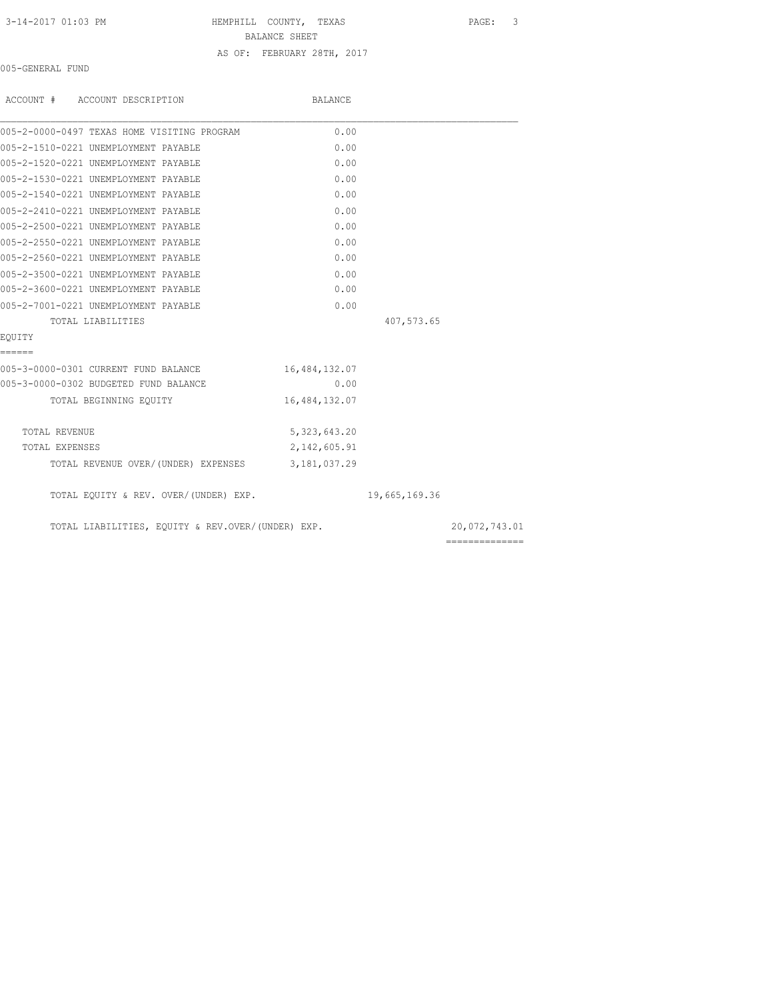#### 3-14-2017 01:03 PM HEMPHILL COUNTY, TEXAS PAGE: 3

BALANCE SHEET

#### AS OF: FEBRUARY 28TH, 2017

005-GENERAL FUND

| ACCOUNT # ACCOUNT DESCRIPTION                     | BALANCE        |               |                |
|---------------------------------------------------|----------------|---------------|----------------|
| 005-2-0000-0497 TEXAS HOME VISITING PROGRAM       | 0.00           |               |                |
| 005-2-1510-0221 UNEMPLOYMENT PAYABLE              | 0.00           |               |                |
| 005-2-1520-0221 UNEMPLOYMENT PAYABLE              | 0.00           |               |                |
| 005-2-1530-0221 UNEMPLOYMENT PAYABLE              | 0.00           |               |                |
| 005-2-1540-0221 UNEMPLOYMENT PAYABLE              | 0.00           |               |                |
| 005-2-2410-0221 UNEMPLOYMENT PAYABLE              | 0.00           |               |                |
| 005-2-2500-0221 UNEMPLOYMENT PAYABLE              | 0.00           |               |                |
| 005-2-2550-0221 UNEMPLOYMENT PAYABLE              | 0.00           |               |                |
| 005-2-2560-0221 UNEMPLOYMENT PAYABLE              | 0.00           |               |                |
| 005-2-3500-0221 UNEMPLOYMENT PAYABLE              | 0.00           |               |                |
| 005-2-3600-0221 UNEMPLOYMENT PAYABLE              | 0.00           |               |                |
| 005-2-7001-0221 UNEMPLOYMENT PAYABLE              | 0.00           |               |                |
| TOTAL LIABILITIES                                 |                | 407,573.65    |                |
| EQUITY                                            |                |               |                |
| ======                                            |                |               |                |
| 005-3-0000-0301 CURRENT FUND BALANCE              | 16,484,132.07  |               |                |
| 005-3-0000-0302 BUDGETED FUND BALANCE             | 0.00           |               |                |
| TOTAL BEGINNING EOUITY                            | 16,484,132.07  |               |                |
| TOTAL REVENUE                                     | 5, 323, 643.20 |               |                |
| TOTAL EXPENSES                                    | 2, 142, 605.91 |               |                |
| TOTAL REVENUE OVER/(UNDER) EXPENSES 3,181,037.29  |                |               |                |
| TOTAL EQUITY & REV. OVER/(UNDER) EXP.             |                | 19,665,169.36 |                |
| TOTAL LIABILITIES, EQUITY & REV.OVER/(UNDER) EXP. |                |               | 20,072,743.01  |
|                                                   |                |               | ============== |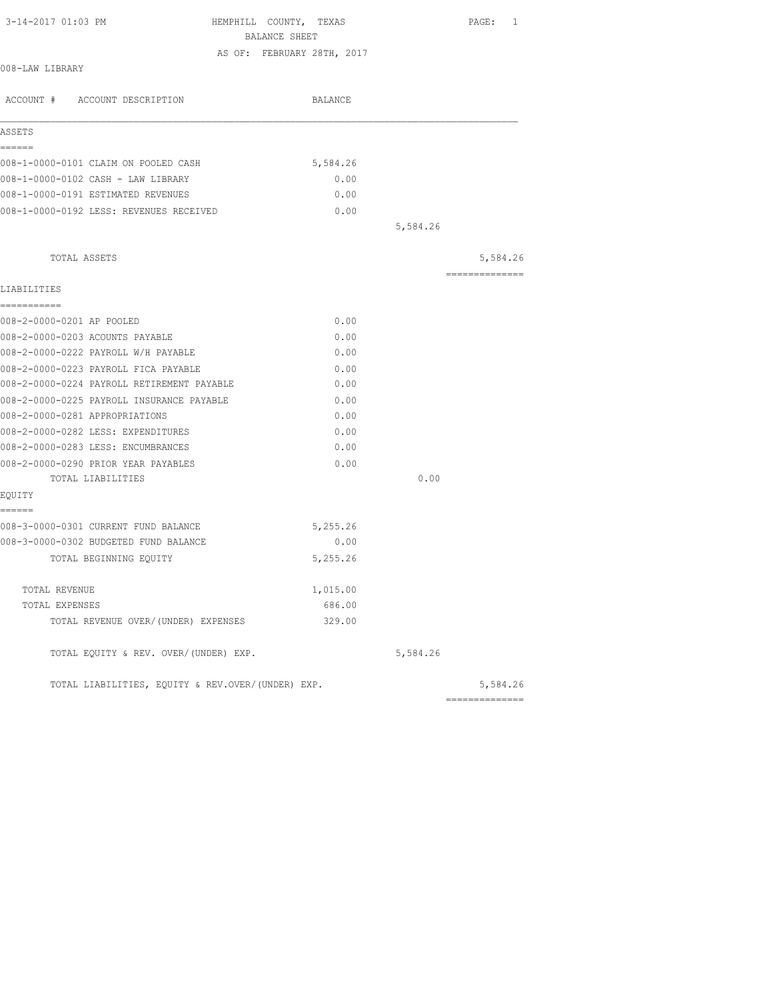| 3-14-2017 01:03 PM                                | HEMPHILL COUNTY, TEXAS<br>BALANCE SHEET | PAGE: 1        |
|---------------------------------------------------|-----------------------------------------|----------------|
|                                                   | AS OF: FEBRUARY 28TH, 2017              |                |
| 008-LAW LIBRARY                                   |                                         |                |
| ACCOUNT # ACCOUNT DESCRIPTION                     | BALANCE                                 |                |
| ASSETS                                            |                                         |                |
| ------                                            |                                         |                |
| 008-1-0000-0101 CLAIM ON POOLED CASH              | 5,584.26                                |                |
| 008-1-0000-0102 CASH - LAW LIBRARY                | 0.00                                    |                |
| 008-1-0000-0191 ESTIMATED REVENUES                | 0.00                                    |                |
| 008-1-0000-0192 LESS: REVENUES RECEIVED           | 0.00                                    |                |
|                                                   |                                         | 5,584.26       |
| TOTAL ASSETS                                      |                                         | 5,584.26       |
| LIABILITIES                                       |                                         | -------------- |
| ------------                                      |                                         |                |
| 008-2-0000-0201 AP POOLED                         | 0.00                                    |                |
| 008-2-0000-0203 ACOUNTS PAYABLE                   | 0.00                                    |                |
| 008-2-0000-0222 PAYROLL W/H PAYABLE               | 0.00                                    |                |
| 008-2-0000-0223 PAYROLL FICA PAYABLE              | 0.00                                    |                |
| 008-2-0000-0224 PAYROLL RETIREMENT PAYABLE        | 0.00                                    |                |
| 008-2-0000-0225 PAYROLL INSURANCE PAYABLE         | 0.00                                    |                |
| 008-2-0000-0281 APPROPRIATIONS                    | 0.00                                    |                |
| 008-2-0000-0282 LESS: EXPENDITURES                | 0.00                                    |                |
| 008-2-0000-0283 LESS: ENCUMBRANCES                | 0.00                                    |                |
| 008-2-0000-0290 PRIOR YEAR PAYABLES               | 0.00                                    |                |
| TOTAL LIABILITIES                                 |                                         | 0.00           |
| EQUITY                                            |                                         |                |
| ======<br>008-3-0000-0301 CURRENT FUND BALANCE    | 5,255.26                                |                |
| 008-3-0000-0302 BUDGETED FUND BALANCE             | 0.00                                    |                |
| TOTAL BEGINNING EQUITY                            | 5,255.26                                |                |
|                                                   |                                         |                |
| TOTAL REVENUE                                     | 1,015.00                                |                |
| TOTAL EXPENSES                                    | 686.00                                  |                |
| TOTAL REVENUE OVER/(UNDER) EXPENSES               | 329.00                                  |                |
| TOTAL EQUITY & REV. OVER/(UNDER) EXP.             |                                         | 5,584.26       |
| TOTAL LIABILITIES, EOUITY & REV.OVER/(UNDER) EXP. |                                         | 5,584.26       |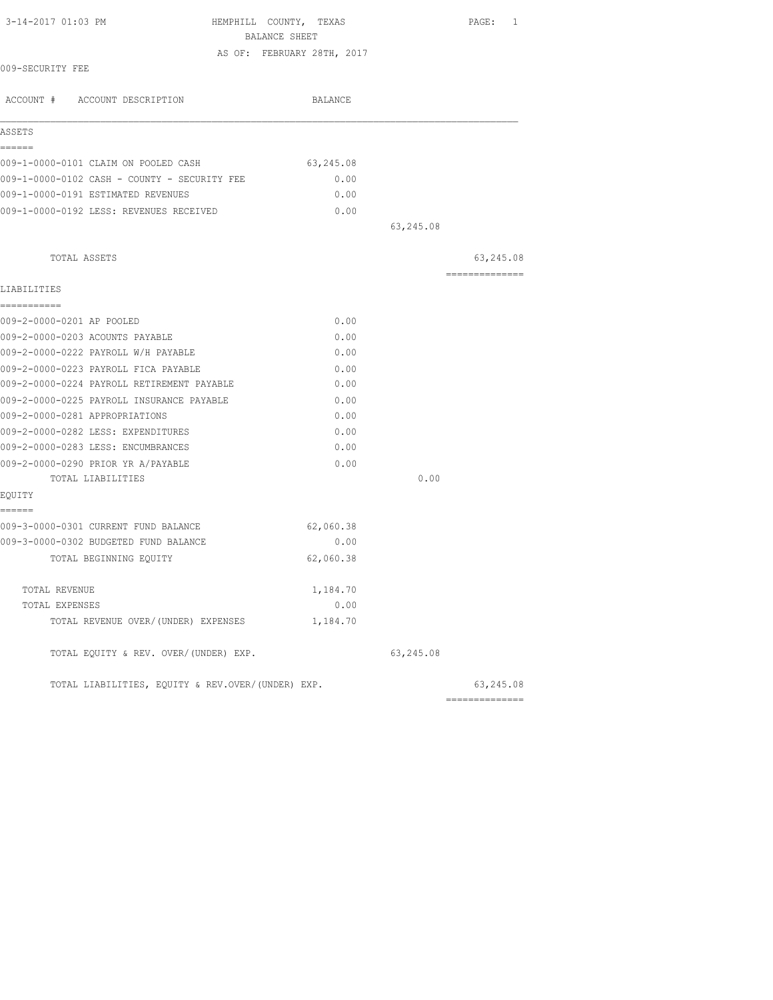| 3-14-2017 01:03 PM                                | HEMPHILL COUNTY, TEXAS<br>BALANCE SHEET | PAGE:<br>1      |
|---------------------------------------------------|-----------------------------------------|-----------------|
|                                                   | AS OF: FEBRUARY 28TH, 2017              |                 |
| 009-SECURITY FEE                                  |                                         |                 |
| ACCOUNT # ACCOUNT DESCRIPTION                     | BALANCE                                 |                 |
| ASSETS                                            |                                         |                 |
| ------                                            |                                         |                 |
| 009-1-0000-0101 CLAIM ON POOLED CASH              | 63,245.08                               |                 |
| 009-1-0000-0102 CASH - COUNTY - SECURITY FEE      | 0.00                                    |                 |
| 009-1-0000-0191 ESTIMATED REVENUES                | 0.00                                    |                 |
| 009-1-0000-0192 LESS: REVENUES RECEIVED           | 0.00                                    |                 |
|                                                   | 63,245.08                               |                 |
| TOTAL ASSETS                                      |                                         | 63,245.08       |
| LIABILITIES                                       |                                         | --------------- |
| ------------                                      |                                         |                 |
| 009-2-0000-0201 AP POOLED                         | 0.00                                    |                 |
| 009-2-0000-0203 ACOUNTS PAYABLE                   | 0.00                                    |                 |
| 009-2-0000-0222 PAYROLL W/H PAYABLE               | 0.00                                    |                 |
| 009-2-0000-0223 PAYROLL FICA PAYABLE              | 0.00                                    |                 |
| 009-2-0000-0224 PAYROLL RETIREMENT PAYABLE        | 0.00                                    |                 |
| 009-2-0000-0225 PAYROLL INSURANCE PAYABLE         | 0.00                                    |                 |
| 009-2-0000-0281 APPROPRIATIONS                    | 0.00                                    |                 |
| 009-2-0000-0282 LESS: EXPENDITURES                | 0.00                                    |                 |
| 009-2-0000-0283 LESS: ENCUMBRANCES                | 0.00                                    |                 |
| 009-2-0000-0290 PRIOR YR A/PAYABLE                | 0.00                                    |                 |
| TOTAL LIABILITIES                                 | 0.00                                    |                 |
| EQUITY<br>======                                  |                                         |                 |
| 009-3-0000-0301 CURRENT FUND BALANCE              | 62,060.38                               |                 |
| 009-3-0000-0302 BUDGETED FUND BALANCE             | 0.00                                    |                 |
| TOTAL BEGINNING EQUITY                            | 62,060.38                               |                 |
| TOTAL REVENUE                                     | 1,184.70                                |                 |
| TOTAL EXPENSES                                    | 0.00                                    |                 |
| TOTAL REVENUE OVER/(UNDER) EXPENSES               | 1,184.70                                |                 |
| TOTAL EQUITY & REV. OVER/(UNDER) EXP.             | 63,245.08                               |                 |
| TOTAL LIABILITIES, EOUITY & REV.OVER/(UNDER) EXP. |                                         | 63,245.08       |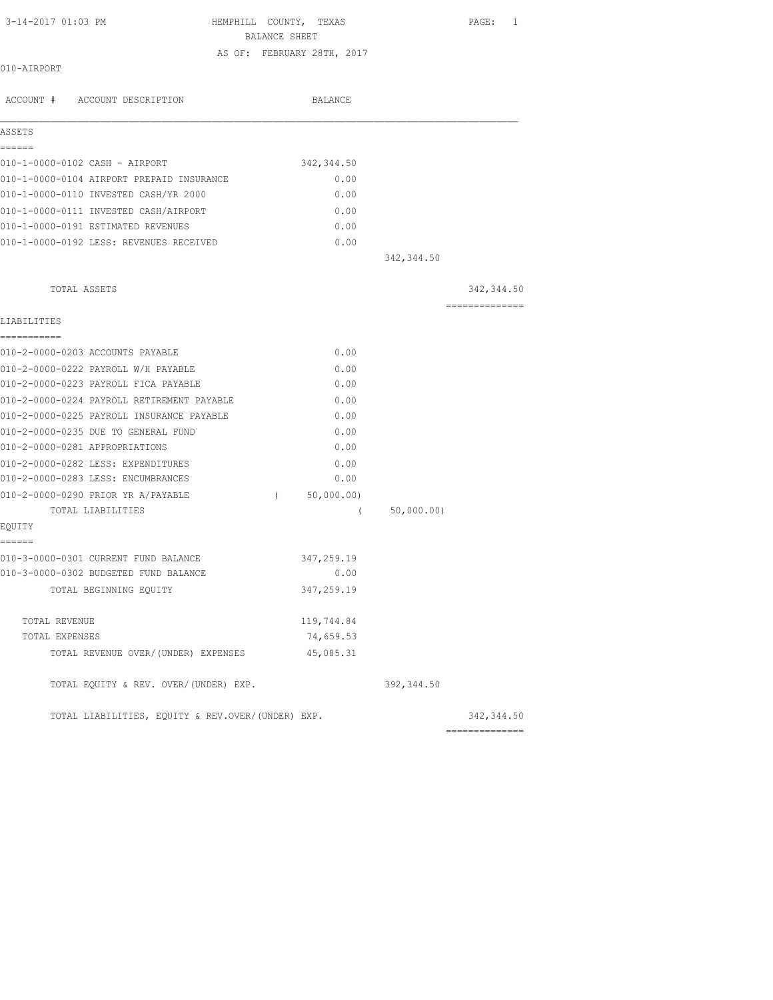HEMPHILL COUNTY, TEXAS PAGE: 1

BALANCE SHEET

AS OF: FEBRUARY 28TH, 2017

| 010-AIRPORT |  |
|-------------|--|
|-------------|--|

| ACCOUNT # ACCOUNT DESCRIPTION                     |            | BALANCE     |             |                               |
|---------------------------------------------------|------------|-------------|-------------|-------------------------------|
| ASSETS                                            |            |             |             |                               |
| ======<br>010-1-0000-0102 CASH - AIRPORT          |            | 342, 344.50 |             |                               |
| 010-1-0000-0104 AIRPORT PREPAID INSURANCE         |            | 0.00        |             |                               |
| 010-1-0000-0110 INVESTED CASH/YR 2000             |            | 0.00        |             |                               |
| 010-1-0000-0111 INVESTED CASH/AIRPORT             |            | 0.00        |             |                               |
| 010-1-0000-0191 ESTIMATED REVENUES                |            | 0.00        |             |                               |
| 010-1-0000-0192 LESS: REVENUES RECEIVED           |            | 0.00        |             |                               |
|                                                   |            |             | 342, 344.50 |                               |
| TOTAL ASSETS                                      |            |             |             | 342, 344.50                   |
| LIABILITIES                                       |            |             |             | ==============                |
| -----------<br>010-2-0000-0203 ACCOUNTS PAYABLE   |            | 0.00        |             |                               |
| 010-2-0000-0222 PAYROLL W/H PAYABLE               |            | 0.00        |             |                               |
| 010-2-0000-0223 PAYROLL FICA PAYABLE              |            | 0.00        |             |                               |
| 010-2-0000-0224 PAYROLL RETIREMENT PAYABLE        |            | 0.00        |             |                               |
| 010-2-0000-0225 PAYROLL INSURANCE PAYABLE         |            | 0.00        |             |                               |
| 010-2-0000-0235 DUE TO GENERAL FUND               |            | 0.00        |             |                               |
| 010-2-0000-0281 APPROPRIATIONS                    |            | 0.00        |             |                               |
| 010-2-0000-0282 LESS: EXPENDITURES                |            | 0.00        |             |                               |
| 010-2-0000-0283 LESS: ENCUMBRANCES                |            | 0.00        |             |                               |
| 010-2-0000-0290 PRIOR YR A/PAYABLE                | $\sqrt{2}$ | 50,000.00)  |             |                               |
| TOTAL LIABILITIES                                 |            | $\left($    | 50,000.00)  |                               |
| EQUITY<br>======                                  |            |             |             |                               |
| 010-3-0000-0301 CURRENT FUND BALANCE              |            | 347,259.19  |             |                               |
| 010-3-0000-0302 BUDGETED FUND BALANCE             |            | 0.00        |             |                               |
| TOTAL BEGINNING EQUITY                            |            | 347,259.19  |             |                               |
| TOTAL REVENUE                                     |            | 119,744.84  |             |                               |
| TOTAL EXPENSES                                    |            | 74,659.53   |             |                               |
| TOTAL REVENUE OVER/(UNDER) EXPENSES               |            | 45,085.31   |             |                               |
| TOTAL EQUITY & REV. OVER/(UNDER) EXP.             |            |             | 392,344.50  |                               |
| TOTAL LIABILITIES, EQUITY & REV.OVER/(UNDER) EXP. |            |             |             | 342, 344.50<br>============== |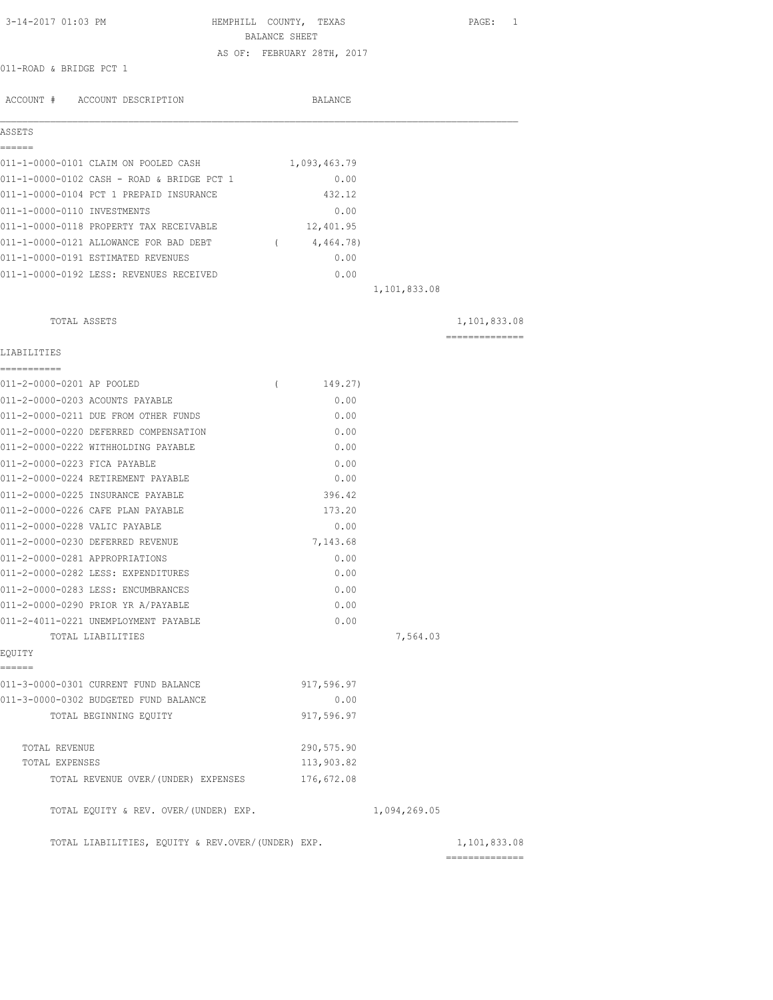| 3-14-2017 01:03 PM                                                | BALANCE SHEET | HEMPHILL COUNTY, TEXAS     |              | PAGE: 1        |
|-------------------------------------------------------------------|---------------|----------------------------|--------------|----------------|
|                                                                   |               | AS OF: FEBRUARY 28TH, 2017 |              |                |
| 011-ROAD & BRIDGE PCT 1                                           |               |                            |              |                |
|                                                                   |               |                            |              |                |
| ACCOUNT # ACCOUNT DESCRIPTION                                     |               | BALANCE                    |              |                |
| ASSETS<br>======                                                  |               |                            |              |                |
| 011-1-0000-0101 CLAIM ON POOLED CASH                              |               | 1,093,463.79               |              |                |
| 011-1-0000-0102 CASH - ROAD & BRIDGE PCT 1                        |               | 0.00                       |              |                |
| 011-1-0000-0104 PCT 1 PREPAID INSURANCE                           |               | 432.12                     |              |                |
| 011-1-0000-0110 INVESTMENTS                                       |               | 0.00                       |              |                |
| 011-1-0000-0118 PROPERTY TAX RECEIVABLE                           |               | 12,401.95                  |              |                |
| $011-1-0000-0121$ ALLOWANCE FOR BAD DEBT (4,464.78)               |               |                            |              |                |
| 011-1-0000-0191 ESTIMATED REVENUES                                |               | 0.00                       |              |                |
| 011-1-0000-0192 LESS: REVENUES RECEIVED                           |               | 0.00                       |              |                |
|                                                                   |               |                            | 1,101,833.08 |                |
| TOTAL ASSETS                                                      |               |                            |              | 1,101,833.08   |
| LIABILITIES                                                       |               |                            |              | ============== |
| ___________                                                       |               |                            |              |                |
| 011-2-0000-0201 AP POOLED                                         | $\left($      | 149.27)                    |              |                |
| 011-2-0000-0203 ACOUNTS PAYABLE                                   |               | 0.00                       |              |                |
| 011-2-0000-0211 DUE FROM OTHER FUNDS                              |               | 0.00                       |              |                |
| 011-2-0000-0220 DEFERRED COMPENSATION                             |               | 0.00                       |              |                |
| 011-2-0000-0222 WITHHOLDING PAYABLE                               |               | 0.00                       |              |                |
| 011-2-0000-0223 FICA PAYABLE                                      |               | 0.00                       |              |                |
| 011-2-0000-0224 RETIREMENT PAYABLE                                |               | 0.00                       |              |                |
| 011-2-0000-0225 INSURANCE PAYABLE                                 |               | 396.42                     |              |                |
| 011-2-0000-0226 CAFE PLAN PAYABLE                                 |               | 173.20                     |              |                |
| 011-2-0000-0228 VALIC PAYABLE<br>011-2-0000-0230 DEFERRED REVENUE |               | 0.00                       |              |                |
| 011-2-0000-0281 APPROPRIATIONS                                    |               | 7,143.68<br>0.00           |              |                |
| 011-2-0000-0282 LESS: EXPENDITURES                                |               | 0.00                       |              |                |
| 011-2-0000-0283 LESS: ENCUMBRANCES                                |               | 0.00                       |              |                |
| 011-2-0000-0290 PRIOR YR A/PAYABLE                                |               | 0.00                       |              |                |
| 011-2-4011-0221 UNEMPLOYMENT PAYABLE                              |               | 0.00                       |              |                |
| TOTAL LIABILITIES                                                 |               |                            | 7,564.03     |                |
| EQUITY                                                            |               |                            |              |                |
| ======                                                            |               |                            |              |                |
| 011-3-0000-0301 CURRENT FUND BALANCE                              |               | 917,596.97                 |              |                |
| 011-3-0000-0302 BUDGETED FUND BALANCE                             |               | 0.00                       |              |                |
| TOTAL BEGINNING EQUITY                                            |               | 917,596.97                 |              |                |
| TOTAL REVENUE                                                     |               | 290,575.90                 |              |                |
| TOTAL EXPENSES                                                    |               | 113,903.82                 |              |                |
| TOTAL REVENUE OVER/ (UNDER) EXPENSES                              |               | 176,672.08                 |              |                |
| TOTAL EQUITY & REV. OVER/(UNDER) EXP.                             |               |                            | 1,094,269.05 |                |
| TOTAL LIABILITIES, EQUITY & REV.OVER/(UNDER) EXP.                 |               |                            |              | 1,101,833.08   |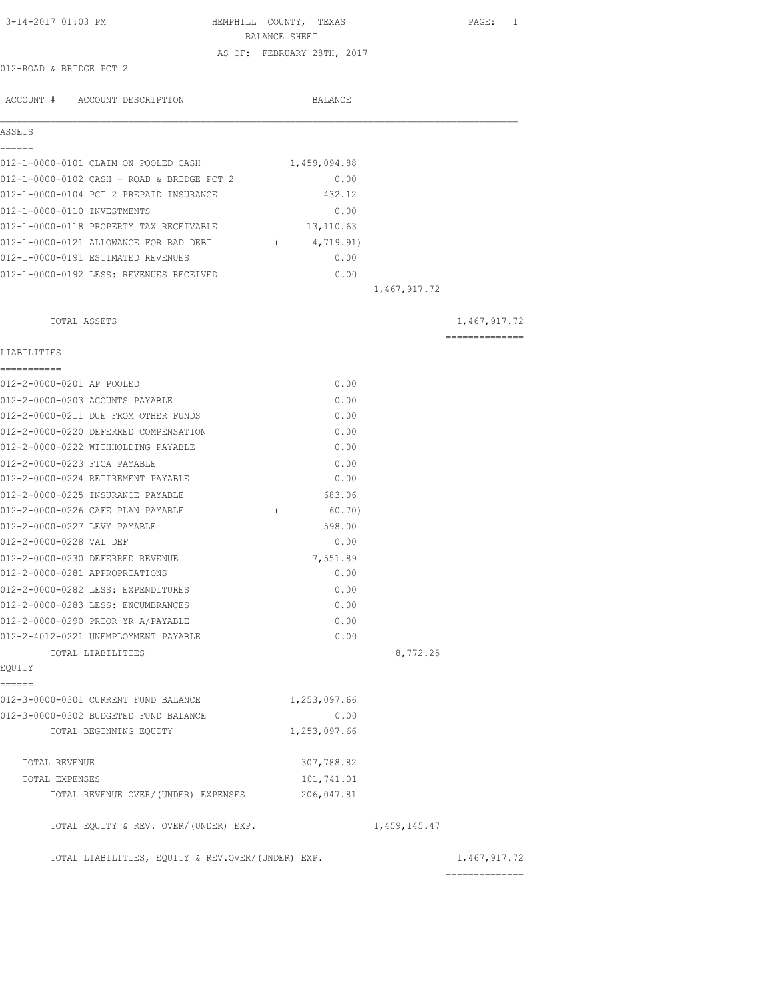| 3-14-2017 01:03 PM                                | HEMPHILL COUNTY, TEXAS                      |              | PAGE: 1        |
|---------------------------------------------------|---------------------------------------------|--------------|----------------|
|                                                   | BALANCE SHEET<br>AS OF: FEBRUARY 28TH, 2017 |              |                |
| 012-ROAD & BRIDGE PCT 2                           |                                             |              |                |
|                                                   |                                             |              |                |
| ACCOUNT # ACCOUNT DESCRIPTION                     | BALANCE                                     |              |                |
| ASSETS                                            |                                             |              |                |
| ======                                            |                                             |              |                |
| 012-1-0000-0101 CLAIM ON POOLED CASH              | 1,459,094.88                                |              |                |
| 012-1-0000-0102 CASH - ROAD & BRIDGE PCT 2        | 0.00                                        |              |                |
| 012-1-0000-0104 PCT 2 PREPAID INSURANCE           | 432.12                                      |              |                |
| 012-1-0000-0110 INVESTMENTS                       | 0.00                                        |              |                |
| 012-1-0000-0118 PROPERTY TAX RECEIVABLE           | 13, 110.63                                  |              |                |
| 012-1-0000-0121 ALLOWANCE FOR BAD DEBT            | 4,719.91)<br>$\sqrt{2}$                     |              |                |
| 012-1-0000-0191 ESTIMATED REVENUES                | 0.00                                        |              |                |
| 012-1-0000-0192 LESS: REVENUES RECEIVED           | 0.00                                        |              |                |
|                                                   |                                             | 1,467,917.72 |                |
| TOTAL ASSETS                                      |                                             |              | 1,467,917.72   |
|                                                   |                                             |              | ============== |
| LIABILITIES<br>-----------                        |                                             |              |                |
| 012-2-0000-0201 AP POOLED                         | 0.00                                        |              |                |
| 012-2-0000-0203 ACOUNTS PAYABLE                   | 0.00                                        |              |                |
| 012-2-0000-0211 DUE FROM OTHER FUNDS              | 0.00                                        |              |                |
| 012-2-0000-0220 DEFERRED COMPENSATION             | 0.00                                        |              |                |
| 012-2-0000-0222 WITHHOLDING PAYABLE               | 0.00                                        |              |                |
| 012-2-0000-0223 FICA PAYABLE                      | 0.00                                        |              |                |
| 012-2-0000-0224 RETIREMENT PAYABLE                | 0.00                                        |              |                |
| 012-2-0000-0225 INSURANCE PAYABLE                 | 683.06                                      |              |                |
| 012-2-0000-0226 CAFE PLAN PAYABLE                 | $\left($<br>60.70)                          |              |                |
| 012-2-0000-0227 LEVY PAYABLE                      | 598.00                                      |              |                |
| 012-2-0000-0228 VAL DEF                           | 0.00                                        |              |                |
| 012-2-0000-0230 DEFERRED REVENUE                  | 7,551.89                                    |              |                |
| 012-2-0000-0281 APPROPRIATIONS                    | 0.00                                        |              |                |
| 012-2-0000-0282 LESS: EXPENDITURES                | 0.00                                        |              |                |
| 012-2-0000-0283 LESS: ENCUMBRANCES                | 0.00                                        |              |                |
| 012-2-0000-0290 PRIOR YR A/PAYABLE                | 0.00                                        |              |                |
| 012-2-4012-0221 UNEMPLOYMENT PAYABLE              | 0.00                                        |              |                |
| TOTAL LIABILITIES                                 |                                             | 8,772.25     |                |
| EQUITY<br>======                                  |                                             |              |                |
| 012-3-0000-0301 CURRENT FUND BALANCE              | 1,253,097.66                                |              |                |
| 012-3-0000-0302 BUDGETED FUND BALANCE             | 0.00                                        |              |                |
| TOTAL BEGINNING EQUITY                            | 1,253,097.66                                |              |                |
|                                                   |                                             |              |                |
| TOTAL REVENUE                                     | 307,788.82                                  |              |                |
| TOTAL EXPENSES                                    | 101,741.01                                  |              |                |
| TOTAL REVENUE OVER/ (UNDER) EXPENSES              | 206,047.81                                  |              |                |
| TOTAL EQUITY & REV. OVER/(UNDER) EXP.             |                                             | 1,459,145.47 |                |
| TOTAL LIABILITIES, EQUITY & REV.OVER/(UNDER) EXP. |                                             |              | 1,467,917.72   |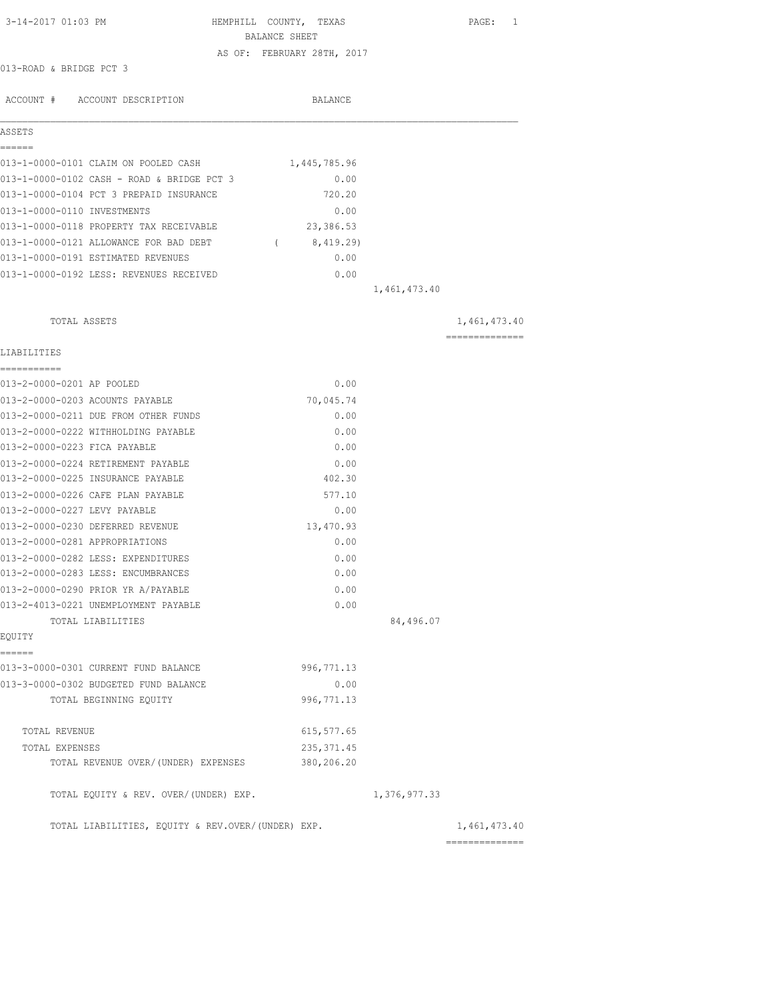| 3-14-2017 01:03 PM                                | HEMPHILL COUNTY, TEXAS     |              | PAGE: 1        |
|---------------------------------------------------|----------------------------|--------------|----------------|
|                                                   | BALANCE SHEET              |              |                |
| 013-ROAD & BRIDGE PCT 3                           | AS OF: FEBRUARY 28TH, 2017 |              |                |
|                                                   |                            |              |                |
| ACCOUNT # ACCOUNT DESCRIPTION                     | BALANCE                    |              |                |
|                                                   |                            |              |                |
| ASSETS                                            |                            |              |                |
| ======                                            |                            |              |                |
| 013-1-0000-0101 CLAIM ON POOLED CASH              | 1,445,785.96               |              |                |
| 013-1-0000-0102 CASH - ROAD & BRIDGE PCT 3        | 0.00                       |              |                |
| 013-1-0000-0104 PCT 3 PREPAID INSURANCE           | 720.20                     |              |                |
| 013-1-0000-0110 INVESTMENTS                       | 0.00                       |              |                |
| 013-1-0000-0118 PROPERTY TAX RECEIVABLE           | 23,386.53                  |              |                |
| 013-1-0000-0121 ALLOWANCE FOR BAD DEBT            | (8, 419.29)                |              |                |
| 013-1-0000-0191 ESTIMATED REVENUES                | 0.00                       |              |                |
| 013-1-0000-0192 LESS: REVENUES RECEIVED           | 0.00                       |              |                |
|                                                   |                            | 1,461,473.40 |                |
|                                                   |                            |              |                |
| TOTAL ASSETS                                      |                            |              | 1,461,473.40   |
|                                                   |                            |              | -------------- |
| LIABILITIES                                       |                            |              |                |
| ===========                                       |                            |              |                |
| 013-2-0000-0201 AP POOLED                         | 0.00                       |              |                |
| 013-2-0000-0203 ACOUNTS PAYABLE                   | 70,045.74                  |              |                |
| 013-2-0000-0211 DUE FROM OTHER FUNDS              | 0.00                       |              |                |
| 013-2-0000-0222 WITHHOLDING PAYABLE               | 0.00                       |              |                |
| 013-2-0000-0223 FICA PAYABLE                      | 0.00                       |              |                |
| 013-2-0000-0224 RETIREMENT PAYABLE                | 0.00                       |              |                |
| 013-2-0000-0225 INSURANCE PAYABLE                 | 402.30                     |              |                |
| 013-2-0000-0226 CAFE PLAN PAYABLE                 | 577.10                     |              |                |
| 013-2-0000-0227 LEVY PAYABLE                      | 0.00                       |              |                |
| 013-2-0000-0230 DEFERRED REVENUE                  | 13,470.93                  |              |                |
| 013-2-0000-0281 APPROPRIATIONS                    | 0.00                       |              |                |
| 013-2-0000-0282 LESS: EXPENDITURES                | 0.00                       |              |                |
| 013-2-0000-0283 LESS: ENCUMBRANCES                | 0.00                       |              |                |
| 013-2-0000-0290 PRIOR YR A/PAYABLE                | 0.00                       |              |                |
| 013-2-4013-0221 UNEMPLOYMENT PAYABLE              | 0.00                       |              |                |
| TOTAL LIABILITIES                                 |                            | 84,496.07    |                |
| EQUITY                                            |                            |              |                |
| ------                                            |                            |              |                |
| 013-3-0000-0301 CURRENT FUND BALANCE              | 996, 771.13                |              |                |
| 013-3-0000-0302 BUDGETED FUND BALANCE             | 0.00                       |              |                |
| TOTAL BEGINNING EQUITY                            | 996, 771.13                |              |                |
|                                                   |                            |              |                |
| TOTAL REVENUE                                     | 615, 577.65                |              |                |
| TOTAL EXPENSES                                    | 235, 371.45                |              |                |
| TOTAL REVENUE OVER/ (UNDER) EXPENSES              | 380,206.20                 |              |                |
| TOTAL EQUITY & REV. OVER/(UNDER) EXP.             |                            | 1,376,977.33 |                |
|                                                   |                            |              |                |
| TOTAL LIABILITIES, EQUITY & REV.OVER/(UNDER) EXP. |                            |              | 1,461,473.40   |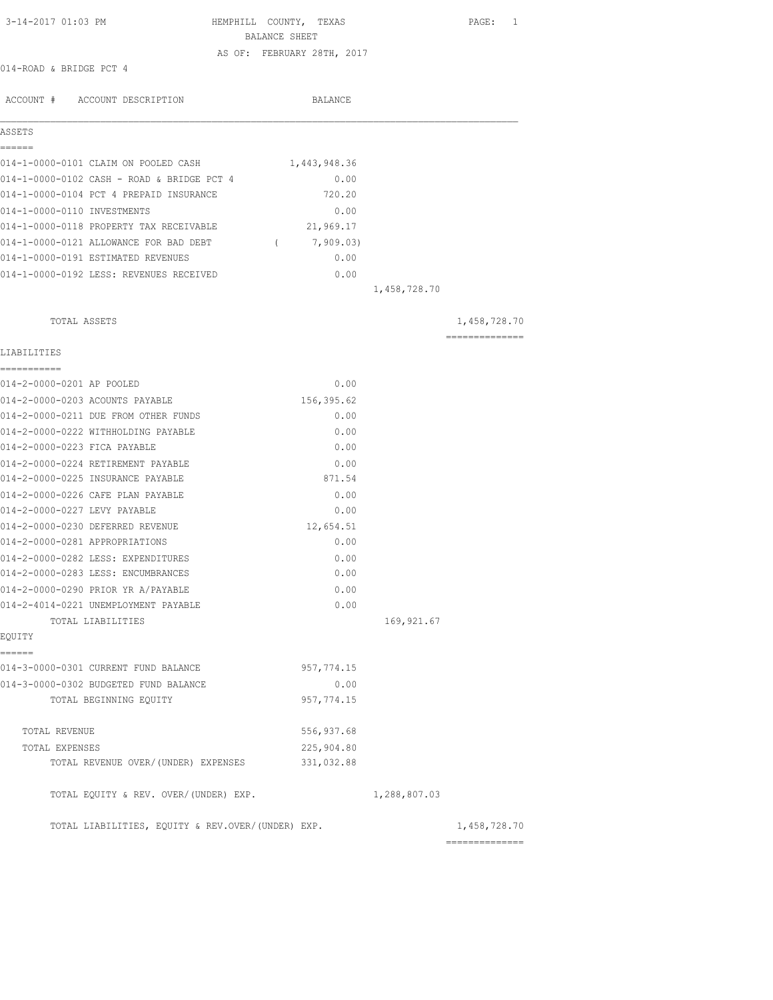| 3-14-2017 01:03 PM                                | HEMPHILL COUNTY, TEXAS                      |              | PAGE: 1                        |
|---------------------------------------------------|---------------------------------------------|--------------|--------------------------------|
|                                                   | BALANCE SHEET<br>AS OF: FEBRUARY 28TH, 2017 |              |                                |
| 014-ROAD & BRIDGE PCT 4                           |                                             |              |                                |
|                                                   |                                             |              |                                |
| ACCOUNT # ACCOUNT DESCRIPTION                     | BALANCE                                     |              |                                |
|                                                   |                                             |              |                                |
| ASSETS<br>------                                  |                                             |              |                                |
| 014-1-0000-0101 CLAIM ON POOLED CASH              | 1,443,948.36                                |              |                                |
| 014-1-0000-0102 CASH - ROAD & BRIDGE PCT 4        | 0.00                                        |              |                                |
| 014-1-0000-0104 PCT 4 PREPAID INSURANCE           | 720.20                                      |              |                                |
| 014-1-0000-0110 INVESTMENTS                       | 0.00                                        |              |                                |
| 014-1-0000-0118 PROPERTY TAX RECEIVABLE           | 21,969.17                                   |              |                                |
| 014-1-0000-0121 ALLOWANCE FOR BAD DEBT            | 7,909.03)<br>$\sqrt{2}$                     |              |                                |
| 014-1-0000-0191 ESTIMATED REVENUES                | 0.00                                        |              |                                |
| 014-1-0000-0192 LESS: REVENUES RECEIVED           | 0.00                                        |              |                                |
|                                                   |                                             | 1,458,728.70 |                                |
|                                                   |                                             |              |                                |
| TOTAL ASSETS                                      |                                             |              | 1,458,728.70<br>============== |
| LIABILITIES                                       |                                             |              |                                |
| -----------<br>014-2-0000-0201 AP POOLED          | 0.00                                        |              |                                |
| 014-2-0000-0203 ACOUNTS PAYABLE                   | 156,395.62                                  |              |                                |
| 014-2-0000-0211 DUE FROM OTHER FUNDS              | 0.00                                        |              |                                |
| 014-2-0000-0222 WITHHOLDING PAYABLE               | 0.00                                        |              |                                |
| 014-2-0000-0223 FICA PAYABLE                      | 0.00                                        |              |                                |
| 014-2-0000-0224 RETIREMENT PAYABLE                | 0.00                                        |              |                                |
| 014-2-0000-0225 INSURANCE PAYABLE                 | 871.54                                      |              |                                |
| 014-2-0000-0226 CAFE PLAN PAYABLE                 | 0.00                                        |              |                                |
| 014-2-0000-0227 LEVY PAYABLE                      | 0.00                                        |              |                                |
| 014-2-0000-0230 DEFERRED REVENUE                  | 12,654.51                                   |              |                                |
| 014-2-0000-0281 APPROPRIATIONS                    | 0.00                                        |              |                                |
| 014-2-0000-0282 LESS: EXPENDITURES                | 0.00                                        |              |                                |
| 014-2-0000-0283 LESS: ENCUMBRANCES                | 0.00                                        |              |                                |
| 014-2-0000-0290 PRIOR YR A/PAYABLE                | 0.00                                        |              |                                |
| 014-2-4014-0221 UNEMPLOYMENT PAYABLE              | 0.00                                        |              |                                |
| TOTAL LIABILITIES                                 |                                             | 169,921.67   |                                |
| EQUITY                                            |                                             |              |                                |
| ======                                            |                                             |              |                                |
| 014-3-0000-0301 CURRENT FUND BALANCE              | 957, 774.15                                 |              |                                |
| 014-3-0000-0302 BUDGETED FUND BALANCE             | 0.00                                        |              |                                |
| TOTAL BEGINNING EQUITY                            | 957, 774.15                                 |              |                                |
| TOTAL REVENUE                                     | 556, 937.68                                 |              |                                |
| TOTAL EXPENSES                                    | 225,904.80                                  |              |                                |
| TOTAL REVENUE OVER/ (UNDER) EXPENSES              | 331,032.88                                  |              |                                |
| TOTAL EQUITY & REV. OVER/(UNDER) EXP.             |                                             | 1,288,807.03 |                                |
|                                                   |                                             |              |                                |
| TOTAL LIABILITIES, EQUITY & REV.OVER/(UNDER) EXP. |                                             |              | 1,458,728.70                   |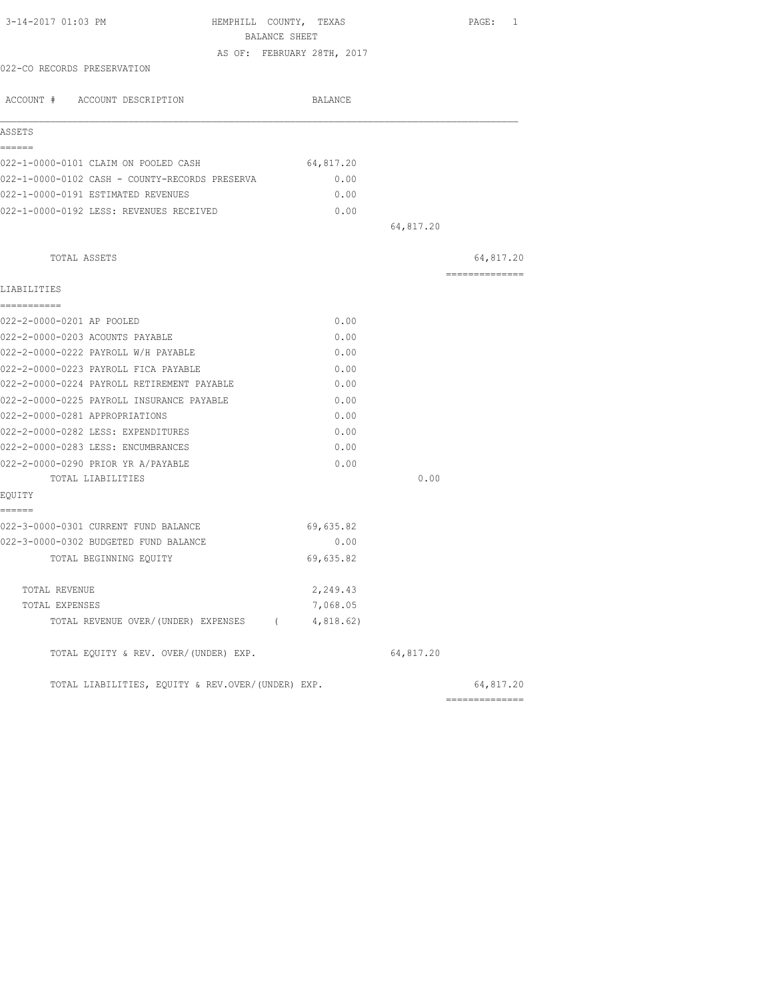| BALANCE SHEET<br>AS OF: FEBRUARY 28TH, 2017<br>022-CO RECORDS PRESERVATION<br>ACCOUNT # ACCOUNT DESCRIPTION<br>BALANCE<br>ASSETS<br>======<br>022-1-0000-0101 CLAIM ON POOLED CASH<br>64,817.20<br>022-1-0000-0102 CASH - COUNTY-RECORDS PRESERVA<br>0.00<br>022-1-0000-0191 ESTIMATED REVENUES<br>0.00<br>022-1-0000-0192 LESS: REVENUES RECEIVED<br>0.00<br>64,817.20<br>TOTAL ASSETS<br>--------------<br>LIABILITIES<br>------------<br>022-2-0000-0201 AP POOLED<br>0.00<br>022-2-0000-0203 ACOUNTS PAYABLE<br>0.00<br>022-2-0000-0222 PAYROLL W/H PAYABLE<br>0.00<br>022-2-0000-0223 PAYROLL FICA PAYABLE<br>0.00<br>022-2-0000-0224 PAYROLL RETIREMENT PAYABLE<br>0.00<br>022-2-0000-0225 PAYROLL INSURANCE PAYABLE<br>0.00<br>022-2-0000-0281 APPROPRIATIONS<br>0.00<br>022-2-0000-0282 LESS: EXPENDITURES<br>0.00<br>022-2-0000-0283 LESS: ENCUMBRANCES<br>0.00<br>022-2-0000-0290 PRIOR YR A/PAYABLE<br>0.00<br>0.00<br>TOTAL LIABILITIES<br>EQUITY<br>======<br>022-3-0000-0301 CURRENT FUND BALANCE<br>69,635.82 | 64,817.20 |
|------------------------------------------------------------------------------------------------------------------------------------------------------------------------------------------------------------------------------------------------------------------------------------------------------------------------------------------------------------------------------------------------------------------------------------------------------------------------------------------------------------------------------------------------------------------------------------------------------------------------------------------------------------------------------------------------------------------------------------------------------------------------------------------------------------------------------------------------------------------------------------------------------------------------------------------------------------------------------------------------------------------------------|-----------|
|                                                                                                                                                                                                                                                                                                                                                                                                                                                                                                                                                                                                                                                                                                                                                                                                                                                                                                                                                                                                                              |           |
|                                                                                                                                                                                                                                                                                                                                                                                                                                                                                                                                                                                                                                                                                                                                                                                                                                                                                                                                                                                                                              |           |
|                                                                                                                                                                                                                                                                                                                                                                                                                                                                                                                                                                                                                                                                                                                                                                                                                                                                                                                                                                                                                              |           |
|                                                                                                                                                                                                                                                                                                                                                                                                                                                                                                                                                                                                                                                                                                                                                                                                                                                                                                                                                                                                                              |           |
|                                                                                                                                                                                                                                                                                                                                                                                                                                                                                                                                                                                                                                                                                                                                                                                                                                                                                                                                                                                                                              |           |
|                                                                                                                                                                                                                                                                                                                                                                                                                                                                                                                                                                                                                                                                                                                                                                                                                                                                                                                                                                                                                              |           |
|                                                                                                                                                                                                                                                                                                                                                                                                                                                                                                                                                                                                                                                                                                                                                                                                                                                                                                                                                                                                                              |           |
|                                                                                                                                                                                                                                                                                                                                                                                                                                                                                                                                                                                                                                                                                                                                                                                                                                                                                                                                                                                                                              |           |
|                                                                                                                                                                                                                                                                                                                                                                                                                                                                                                                                                                                                                                                                                                                                                                                                                                                                                                                                                                                                                              |           |
|                                                                                                                                                                                                                                                                                                                                                                                                                                                                                                                                                                                                                                                                                                                                                                                                                                                                                                                                                                                                                              |           |
|                                                                                                                                                                                                                                                                                                                                                                                                                                                                                                                                                                                                                                                                                                                                                                                                                                                                                                                                                                                                                              |           |
|                                                                                                                                                                                                                                                                                                                                                                                                                                                                                                                                                                                                                                                                                                                                                                                                                                                                                                                                                                                                                              |           |
|                                                                                                                                                                                                                                                                                                                                                                                                                                                                                                                                                                                                                                                                                                                                                                                                                                                                                                                                                                                                                              |           |
|                                                                                                                                                                                                                                                                                                                                                                                                                                                                                                                                                                                                                                                                                                                                                                                                                                                                                                                                                                                                                              |           |
|                                                                                                                                                                                                                                                                                                                                                                                                                                                                                                                                                                                                                                                                                                                                                                                                                                                                                                                                                                                                                              |           |
|                                                                                                                                                                                                                                                                                                                                                                                                                                                                                                                                                                                                                                                                                                                                                                                                                                                                                                                                                                                                                              |           |
|                                                                                                                                                                                                                                                                                                                                                                                                                                                                                                                                                                                                                                                                                                                                                                                                                                                                                                                                                                                                                              |           |
|                                                                                                                                                                                                                                                                                                                                                                                                                                                                                                                                                                                                                                                                                                                                                                                                                                                                                                                                                                                                                              |           |
|                                                                                                                                                                                                                                                                                                                                                                                                                                                                                                                                                                                                                                                                                                                                                                                                                                                                                                                                                                                                                              |           |
|                                                                                                                                                                                                                                                                                                                                                                                                                                                                                                                                                                                                                                                                                                                                                                                                                                                                                                                                                                                                                              |           |
|                                                                                                                                                                                                                                                                                                                                                                                                                                                                                                                                                                                                                                                                                                                                                                                                                                                                                                                                                                                                                              |           |
|                                                                                                                                                                                                                                                                                                                                                                                                                                                                                                                                                                                                                                                                                                                                                                                                                                                                                                                                                                                                                              |           |
|                                                                                                                                                                                                                                                                                                                                                                                                                                                                                                                                                                                                                                                                                                                                                                                                                                                                                                                                                                                                                              |           |
|                                                                                                                                                                                                                                                                                                                                                                                                                                                                                                                                                                                                                                                                                                                                                                                                                                                                                                                                                                                                                              |           |
|                                                                                                                                                                                                                                                                                                                                                                                                                                                                                                                                                                                                                                                                                                                                                                                                                                                                                                                                                                                                                              |           |
|                                                                                                                                                                                                                                                                                                                                                                                                                                                                                                                                                                                                                                                                                                                                                                                                                                                                                                                                                                                                                              |           |
|                                                                                                                                                                                                                                                                                                                                                                                                                                                                                                                                                                                                                                                                                                                                                                                                                                                                                                                                                                                                                              |           |
|                                                                                                                                                                                                                                                                                                                                                                                                                                                                                                                                                                                                                                                                                                                                                                                                                                                                                                                                                                                                                              |           |
| 022-3-0000-0302 BUDGETED FUND BALANCE<br>0.00                                                                                                                                                                                                                                                                                                                                                                                                                                                                                                                                                                                                                                                                                                                                                                                                                                                                                                                                                                                |           |
| 69,635.82<br>TOTAL BEGINNING EQUITY                                                                                                                                                                                                                                                                                                                                                                                                                                                                                                                                                                                                                                                                                                                                                                                                                                                                                                                                                                                          |           |
| 2,249.43<br>TOTAL REVENUE                                                                                                                                                                                                                                                                                                                                                                                                                                                                                                                                                                                                                                                                                                                                                                                                                                                                                                                                                                                                    |           |
| 7,068.05<br>TOTAL EXPENSES                                                                                                                                                                                                                                                                                                                                                                                                                                                                                                                                                                                                                                                                                                                                                                                                                                                                                                                                                                                                   |           |
| TOTAL REVENUE OVER/(UNDER) EXPENSES (<br>4,818.62)                                                                                                                                                                                                                                                                                                                                                                                                                                                                                                                                                                                                                                                                                                                                                                                                                                                                                                                                                                           |           |
| TOTAL EQUITY & REV. OVER/(UNDER) EXP.<br>64,817.20                                                                                                                                                                                                                                                                                                                                                                                                                                                                                                                                                                                                                                                                                                                                                                                                                                                                                                                                                                           |           |
| TOTAL LIABILITIES, EOUITY & REV.OVER/(UNDER) EXP.<br>64,817.20                                                                                                                                                                                                                                                                                                                                                                                                                                                                                                                                                                                                                                                                                                                                                                                                                                                                                                                                                               |           |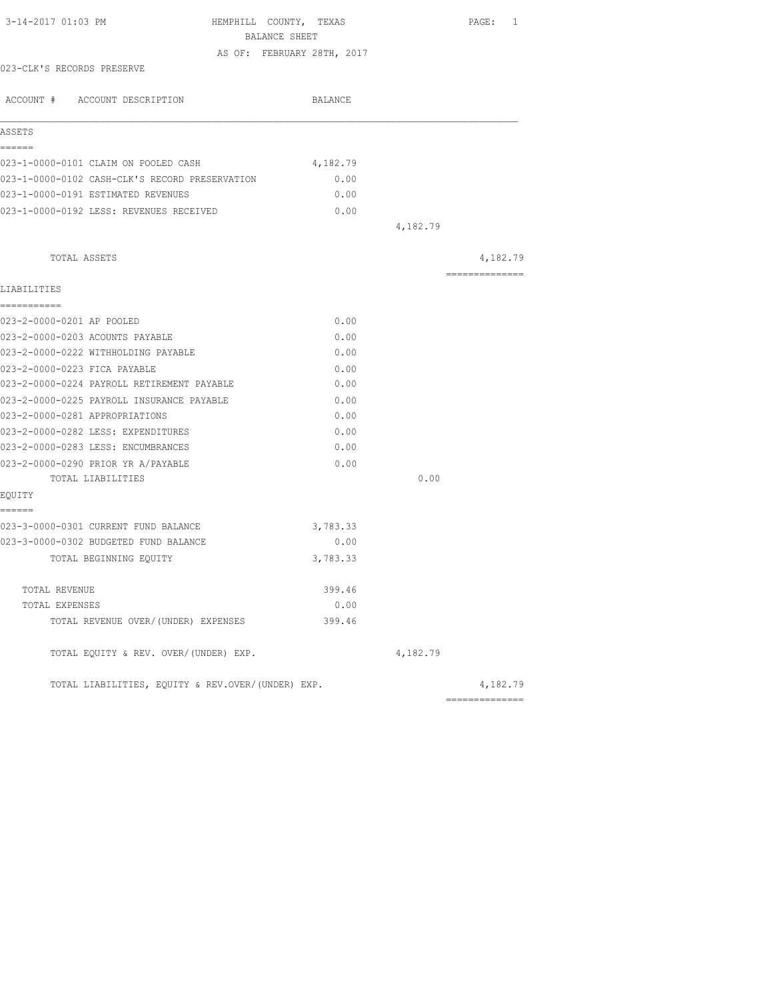| 3-14-2017 01:03 PM                                | HEMPHILL COUNTY, TEXAS     |          |      |          | PAGE: 1         |  |
|---------------------------------------------------|----------------------------|----------|------|----------|-----------------|--|
|                                                   | BALANCE SHEET              |          |      |          |                 |  |
|                                                   | AS OF: FEBRUARY 28TH, 2017 |          |      |          |                 |  |
| 023-CLK'S RECORDS PRESERVE                        |                            |          |      |          |                 |  |
| ACCOUNT # ACCOUNT DESCRIPTION                     |                            | BALANCE  |      |          |                 |  |
| ASSETS                                            |                            |          |      |          |                 |  |
| ======                                            |                            |          |      |          |                 |  |
| 023-1-0000-0101 CLAIM ON POOLED CASH              |                            | 4,182.79 |      |          |                 |  |
| 023-1-0000-0102 CASH-CLK'S RECORD PRESERVATION    |                            | 0.00     |      |          |                 |  |
| 023-1-0000-0191 ESTIMATED REVENUES                |                            | 0.00     |      |          |                 |  |
| 023-1-0000-0192 LESS: REVENUES RECEIVED           |                            |          | 0.00 |          |                 |  |
|                                                   |                            |          |      | 4,182.79 |                 |  |
| TOTAL ASSETS                                      |                            |          |      |          | 4,182.79        |  |
|                                                   |                            |          |      |          | --------------- |  |
| LIABILITIES                                       |                            |          |      |          |                 |  |
| ===========                                       |                            |          |      |          |                 |  |
| 023-2-0000-0201 AP POOLED                         |                            |          | 0.00 |          |                 |  |
| 023-2-0000-0203 ACOUNTS PAYABLE                   |                            | 0.00     |      |          |                 |  |
| 023-2-0000-0222 WITHHOLDING PAYABLE               |                            | 0.00     |      |          |                 |  |
| 023-2-0000-0223 FICA PAYABLE                      |                            | 0.00     |      |          |                 |  |
| 023-2-0000-0224 PAYROLL RETIREMENT PAYABLE        |                            | 0.00     |      |          |                 |  |
| 023-2-0000-0225 PAYROLL INSURANCE PAYABLE         |                            | 0.00     |      |          |                 |  |
| 023-2-0000-0281 APPROPRIATIONS                    |                            | 0.00     |      |          |                 |  |
| 023-2-0000-0282 LESS: EXPENDITURES                |                            | 0.00     |      |          |                 |  |
| 023-2-0000-0283 LESS: ENCUMBRANCES                |                            | 0.00     |      |          |                 |  |
| 023-2-0000-0290 PRIOR YR A/PAYABLE                |                            |          | 0.00 |          |                 |  |
| TOTAL LIABILITIES                                 |                            |          |      | 0.00     |                 |  |
| EOUITY                                            |                            |          |      |          |                 |  |
| ======<br>023-3-0000-0301 CURRENT FUND BALANCE    |                            | 3,783.33 |      |          |                 |  |
| 023-3-0000-0302 BUDGETED FUND BALANCE             |                            |          | 0.00 |          |                 |  |
| TOTAL BEGINNING EQUITY                            |                            | 3,783.33 |      |          |                 |  |
|                                                   |                            |          |      |          |                 |  |
| TOTAL REVENUE                                     |                            | 399.46   |      |          |                 |  |
| TOTAL EXPENSES                                    |                            |          | 0.00 |          |                 |  |
| TOTAL REVENUE OVER/(UNDER) EXPENSES               |                            | 399.46   |      |          |                 |  |
| TOTAL EQUITY & REV. OVER/(UNDER) EXP.             |                            |          |      | 4,182.79 |                 |  |
| TOTAL LIABILITIES, EQUITY & REV.OVER/(UNDER) EXP. |                            |          |      |          | 4,182.79        |  |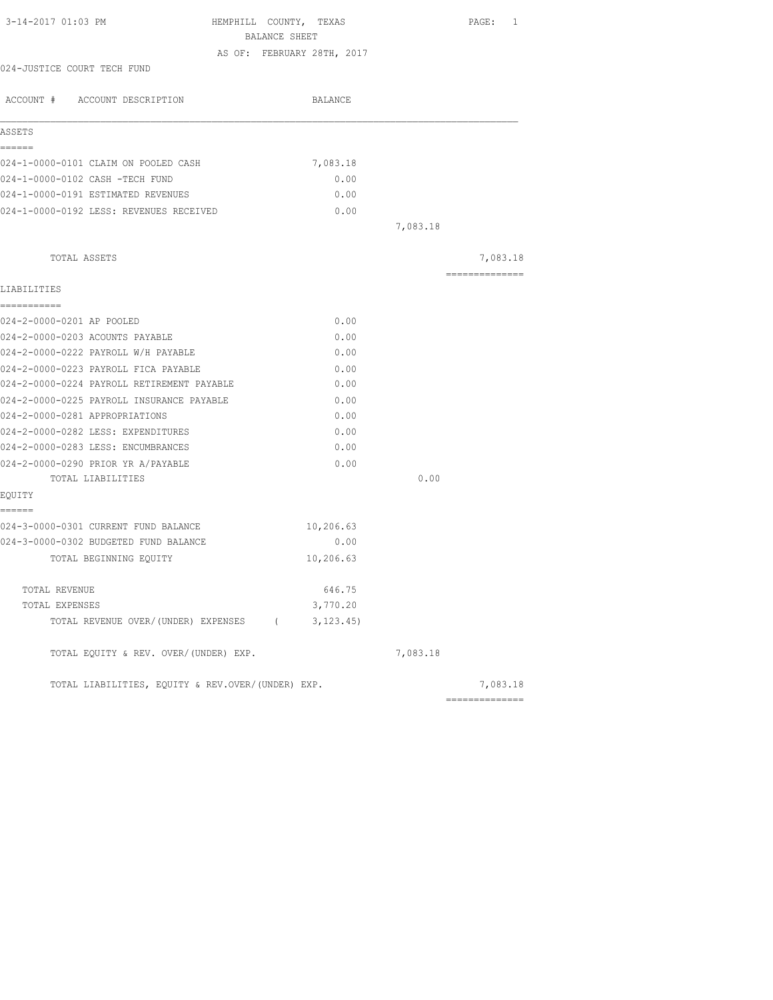| 3-14-2017 01:03 PM                                               | HEMPHILL COUNTY, TEXAS     |          | PAGE: 1                    |
|------------------------------------------------------------------|----------------------------|----------|----------------------------|
|                                                                  | BALANCE SHEET              |          |                            |
|                                                                  | AS OF: FEBRUARY 28TH, 2017 |          |                            |
| 024-JUSTICE COURT TECH FUND                                      |                            |          |                            |
| ACCOUNT # ACCOUNT DESCRIPTION                                    | BALANCE                    |          |                            |
| ASSETS                                                           |                            |          |                            |
| ------<br>024-1-0000-0101 CLAIM ON POOLED CASH                   | 7,083.18                   |          |                            |
| 024-1-0000-0102 CASH -TECH FUND                                  | 0.00                       |          |                            |
| 024-1-0000-0191 ESTIMATED REVENUES                               | 0.00                       |          |                            |
| 024-1-0000-0192 LESS: REVENUES RECEIVED                          | 0.00                       |          |                            |
|                                                                  |                            | 7,083.18 |                            |
| TOTAL ASSETS                                                     |                            |          | 7,083.18                   |
| LIABILITIES                                                      |                            |          | ==============             |
| ===========                                                      |                            |          |                            |
| 024-2-0000-0201 AP POOLED                                        | 0.00                       |          |                            |
| 024-2-0000-0203 ACOUNTS PAYABLE                                  | 0.00                       |          |                            |
| 024-2-0000-0222 PAYROLL W/H PAYABLE                              | 0.00                       |          |                            |
| 024-2-0000-0223 PAYROLL FICA PAYABLE                             | 0.00                       |          |                            |
| 024-2-0000-0224 PAYROLL RETIREMENT PAYABLE                       | 0.00                       |          |                            |
| 024-2-0000-0225 PAYROLL INSURANCE PAYABLE                        | 0.00                       |          |                            |
| 024-2-0000-0281 APPROPRIATIONS                                   | 0.00                       |          |                            |
| 024-2-0000-0282 LESS: EXPENDITURES                               | 0.00                       |          |                            |
| 024-2-0000-0283 LESS: ENCUMBRANCES                               | 0.00                       |          |                            |
| 024-2-0000-0290 PRIOR YR A/PAYABLE                               | 0.00                       |          |                            |
| TOTAL LIABILITIES                                                |                            | 0.00     |                            |
| EQUITY                                                           |                            |          |                            |
| ------<br>024-3-0000-0301 CURRENT FUND BALANCE                   | 10,206.63                  |          |                            |
| 024-3-0000-0302 BUDGETED FUND BALANCE                            | 0.00                       |          |                            |
| TOTAL BEGINNING EOUITY                                           | 10,206.63                  |          |                            |
|                                                                  |                            |          |                            |
| TOTAL REVENUE                                                    | 646.75                     |          |                            |
| TOTAL EXPENSES<br>TOTAL REVENUE OVER/(UNDER) EXPENSES (3,123.45) | 3,770.20                   |          |                            |
| TOTAL EQUITY & REV. OVER/(UNDER) EXP.                            |                            | 7,083.18 |                            |
|                                                                  |                            |          |                            |
| TOTAL LIABILITIES, EQUITY & REV.OVER/(UNDER) EXP.                |                            |          | 7,083.18<br>============== |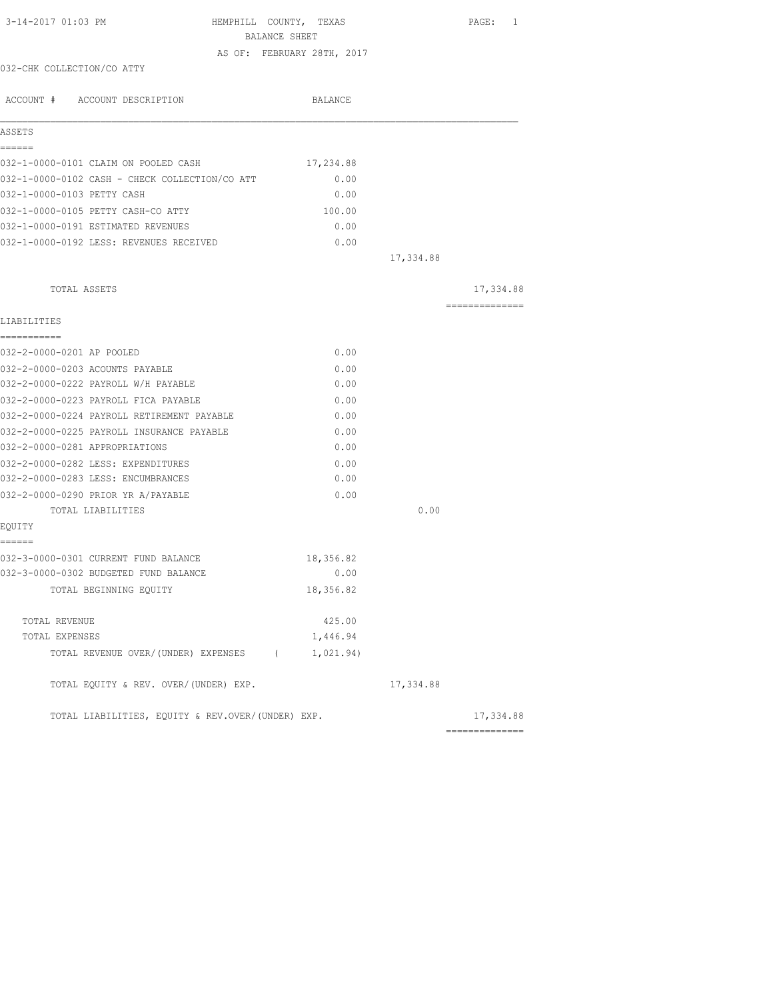| 3-14-2017 01:03 PM                                | HEMPHILL COUNTY, TEXAS<br>BALANCE SHEET | PAGE: 1        |
|---------------------------------------------------|-----------------------------------------|----------------|
|                                                   | AS OF: FEBRUARY 28TH, 2017              |                |
| 032-CHK COLLECTION/CO ATTY                        |                                         |                |
| ACCOUNT # ACCOUNT DESCRIPTION                     | BALANCE                                 |                |
| ASSETS                                            |                                         |                |
| ------                                            |                                         |                |
| 032-1-0000-0101 CLAIM ON POOLED CASH              | 17,234.88                               |                |
| 032-1-0000-0102 CASH - CHECK COLLECTION/CO ATT    | 0.00                                    |                |
| 032-1-0000-0103 PETTY CASH                        | 0.00                                    |                |
| 032-1-0000-0105 PETTY CASH-CO ATTY                | 100.00                                  |                |
| 032-1-0000-0191 ESTIMATED REVENUES                | 0.00                                    |                |
| 032-1-0000-0192 LESS: REVENUES RECEIVED           | 0.00                                    |                |
|                                                   | 17,334.88                               |                |
| TOTAL ASSETS                                      |                                         | 17,334.88      |
|                                                   |                                         | ============== |
| LIABILITIES<br>===========                        |                                         |                |
| 032-2-0000-0201 AP POOLED                         | 0.00                                    |                |
| 032-2-0000-0203 ACOUNTS PAYABLE                   | 0.00                                    |                |
| 032-2-0000-0222 PAYROLL W/H PAYABLE               | 0.00                                    |                |
| 032-2-0000-0223 PAYROLL FICA PAYABLE              | 0.00                                    |                |
| 032-2-0000-0224 PAYROLL RETIREMENT PAYABLE        | 0.00                                    |                |
| 032-2-0000-0225 PAYROLL INSURANCE PAYABLE         | 0.00                                    |                |
| 032-2-0000-0281 APPROPRIATIONS                    | 0.00                                    |                |
| 032-2-0000-0282 LESS: EXPENDITURES                | 0.00                                    |                |
| 032-2-0000-0283 LESS: ENCUMBRANCES                | 0.00                                    |                |
| 032-2-0000-0290 PRIOR YR A/PAYABLE                | 0.00                                    |                |
| TOTAL LIABILITIES                                 | 0.00                                    |                |
| EQUITY                                            |                                         |                |
| ======                                            |                                         |                |
| 032-3-0000-0301 CURRENT FUND BALANCE              | 18,356.82                               |                |
| 032-3-0000-0302 BUDGETED FUND BALANCE             | 0.00                                    |                |
| TOTAL BEGINNING EQUITY                            | 18,356.82                               |                |
| TOTAL REVENUE                                     | 425.00                                  |                |
| TOTAL EXPENSES                                    | 1,446.94                                |                |
| TOTAL REVENUE OVER/(UNDER) EXPENSES (             | 1,021.94)                               |                |
| TOTAL EQUITY & REV. OVER/(UNDER) EXP.             | 17,334.88                               |                |
| TOTAL LIABILITIES, EOUITY & REV.OVER/(UNDER) EXP. |                                         | 17,334.88      |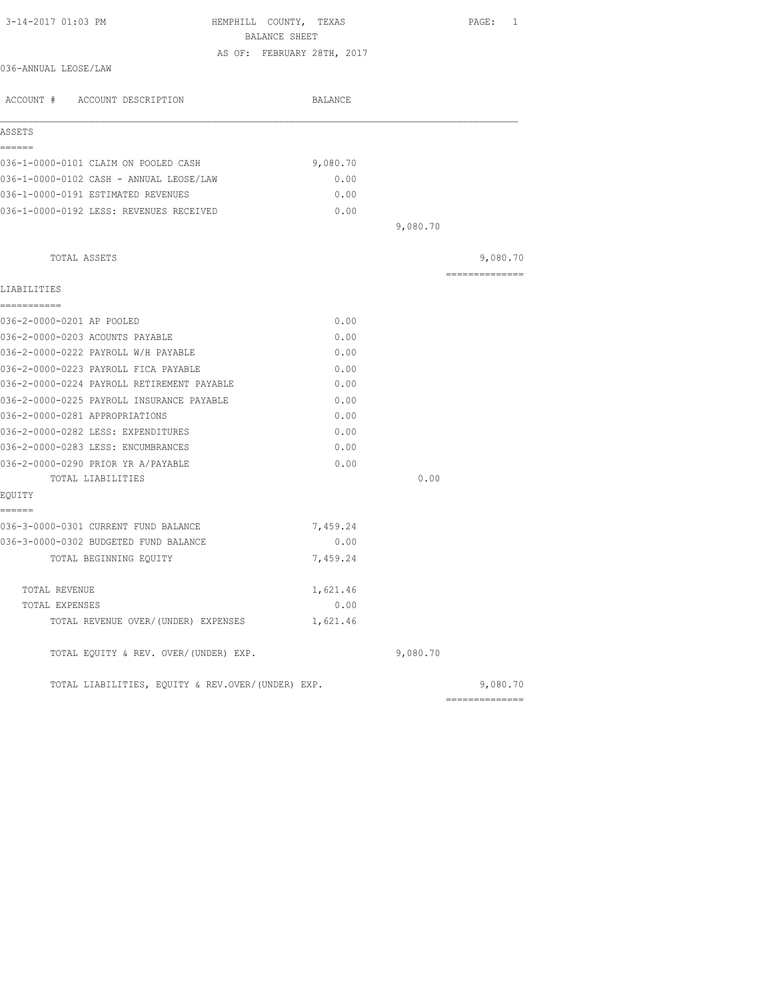| 3-14-2017 01:03 PM<br>HEMPHILL COUNTY, TEXAS      | BALANCE SHEET              |          | PAGE: 1         |
|---------------------------------------------------|----------------------------|----------|-----------------|
|                                                   | AS OF: FEBRUARY 28TH, 2017 |          |                 |
| 036-ANNUAL LEOSE/LAW                              |                            |          |                 |
| ACCOUNT # ACCOUNT DESCRIPTION                     | BALANCE                    |          |                 |
| ASSETS                                            |                            |          |                 |
| ======                                            |                            |          |                 |
| 036-1-0000-0101 CLAIM ON POOLED CASH              | 9,080.70                   |          |                 |
| 036-1-0000-0102 CASH - ANNUAL LEOSE/LAW           | 0.00                       |          |                 |
| 036-1-0000-0191 ESTIMATED REVENUES                | 0.00                       |          |                 |
| 036-1-0000-0192 LESS: REVENUES RECEIVED           | 0.00                       |          |                 |
|                                                   |                            | 9,080.70 |                 |
| TOTAL ASSETS                                      |                            |          | 9,080.70        |
|                                                   |                            |          | =============== |
| LIABILITIES<br>-----------                        |                            |          |                 |
| 036-2-0000-0201 AP POOLED                         | 0.00                       |          |                 |
| 036-2-0000-0203 ACOUNTS PAYABLE                   | 0.00                       |          |                 |
| 036-2-0000-0222 PAYROLL W/H PAYABLE               | 0.00                       |          |                 |
| 036-2-0000-0223 PAYROLL FICA PAYABLE              | 0.00                       |          |                 |
| 036-2-0000-0224 PAYROLL RETIREMENT PAYABLE        | 0.00                       |          |                 |
| 036-2-0000-0225 PAYROLL INSURANCE PAYABLE         | 0.00                       |          |                 |
| 036-2-0000-0281 APPROPRIATIONS                    | 0.00                       |          |                 |
| 036-2-0000-0282 LESS: EXPENDITURES                | 0.00                       |          |                 |
| 036-2-0000-0283 LESS: ENCUMBRANCES                | 0.00                       |          |                 |
| 036-2-0000-0290 PRIOR YR A/PAYABLE                | 0.00                       |          |                 |
| TOTAL LIABILITIES                                 |                            | 0.00     |                 |
| EQUITY                                            |                            |          |                 |
| ======                                            |                            |          |                 |
| 036-3-0000-0301 CURRENT FUND BALANCE              | 7,459.24                   |          |                 |
| 036-3-0000-0302 BUDGETED FUND BALANCE             | 0.00                       |          |                 |
| TOTAL BEGINNING EOUITY                            | 7,459.24                   |          |                 |
| TOTAL REVENUE                                     | 1,621.46                   |          |                 |
| TOTAL EXPENSES                                    | 0.00                       |          |                 |
| TOTAL REVENUE OVER/(UNDER) EXPENSES               | 1,621.46                   |          |                 |
| TOTAL EQUITY & REV. OVER/(UNDER) EXP.             |                            | 9,080.70 |                 |
| TOTAL LIABILITIES, EOUITY & REV.OVER/(UNDER) EXP. |                            |          | 9,080.70        |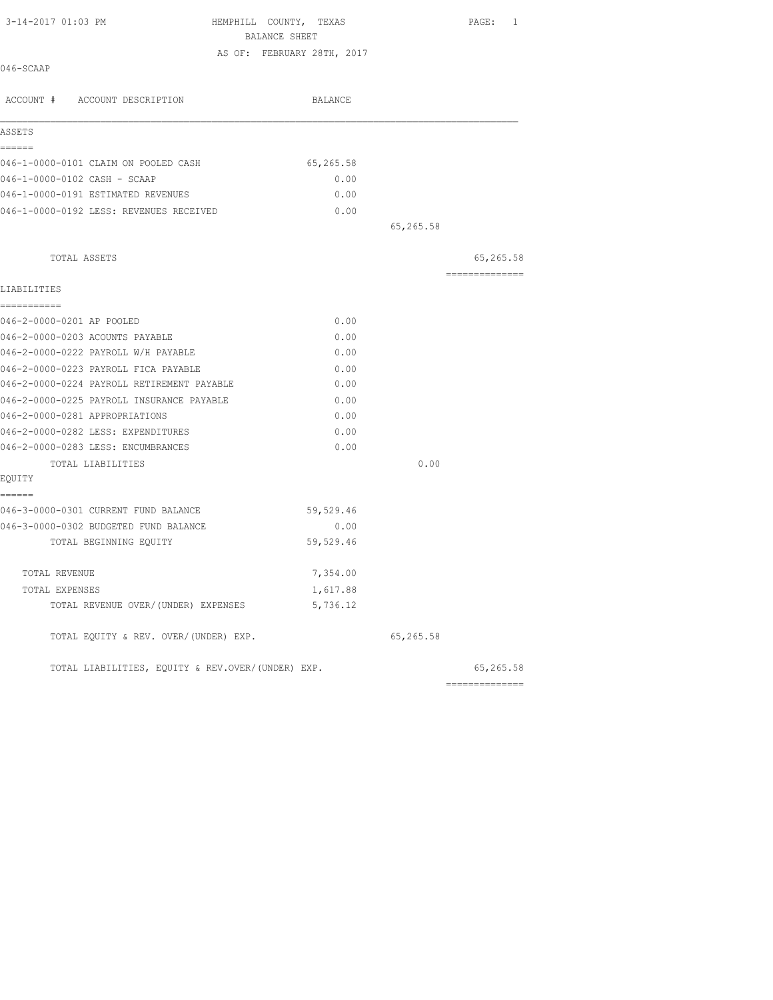| 3-14-2017 01:03 PM                                                          | HEMPHILL COUNTY, TEXAS<br>BALANCE SHEET |                            |           | PAGE: 1        |  |
|-----------------------------------------------------------------------------|-----------------------------------------|----------------------------|-----------|----------------|--|
|                                                                             |                                         | AS OF: FEBRUARY 28TH, 2017 |           |                |  |
| 046-SCAAP                                                                   |                                         |                            |           |                |  |
| ACCOUNT # ACCOUNT DESCRIPTION                                               |                                         | <b>BALANCE</b>             |           |                |  |
| ASSETS                                                                      |                                         |                            |           |                |  |
| ------                                                                      |                                         |                            |           |                |  |
| 046-1-0000-0101 CLAIM ON POOLED CASH                                        |                                         | 65,265.58                  |           |                |  |
| 046-1-0000-0102 CASH - SCAAP                                                |                                         | 0.00                       |           |                |  |
| 046-1-0000-0191 ESTIMATED REVENUES                                          |                                         | 0.00                       |           |                |  |
| 046-1-0000-0192 LESS: REVENUES RECEIVED                                     |                                         | 0.00                       |           |                |  |
|                                                                             |                                         |                            | 65,265.58 |                |  |
| TOTAL ASSETS                                                                |                                         |                            |           | 65,265.58      |  |
|                                                                             |                                         |                            |           | -------------- |  |
| LIABILITIES                                                                 |                                         |                            |           |                |  |
| ===========                                                                 |                                         |                            |           |                |  |
| 046-2-0000-0201 AP POOLED                                                   |                                         | 0.00                       |           |                |  |
| 046-2-0000-0203 ACOUNTS PAYABLE                                             |                                         | 0.00                       |           |                |  |
| 046-2-0000-0222 PAYROLL W/H PAYABLE                                         |                                         | 0.00                       |           |                |  |
| 046-2-0000-0223 PAYROLL FICA PAYABLE                                        |                                         | 0.00                       |           |                |  |
| 046-2-0000-0224 PAYROLL RETIREMENT PAYABLE                                  |                                         | 0.00                       |           |                |  |
| 046-2-0000-0225 PAYROLL INSURANCE PAYABLE<br>046-2-0000-0281 APPROPRIATIONS |                                         | 0.00<br>0.00               |           |                |  |
|                                                                             |                                         |                            |           |                |  |
| 046-2-0000-0282 LESS: EXPENDITURES                                          |                                         | 0.00                       |           |                |  |
| 046-2-0000-0283 LESS: ENCUMBRANCES                                          |                                         | 0.00                       |           |                |  |
| TOTAL LIABILITIES<br>EQUITY                                                 |                                         |                            | 0.00      |                |  |
| ======<br>046-3-0000-0301 CURRENT FUND BALANCE                              |                                         | 59,529.46                  |           |                |  |
| 046-3-0000-0302 BUDGETED FUND BALANCE                                       |                                         | 0.00                       |           |                |  |
| TOTAL BEGINNING EOUITY                                                      |                                         | 59,529.46                  |           |                |  |
|                                                                             |                                         |                            |           |                |  |
| TOTAL REVENUE                                                               |                                         | 7,354.00                   |           |                |  |
| TOTAL EXPENSES                                                              |                                         | 1,617.88                   |           |                |  |
| TOTAL REVENUE OVER/(UNDER) EXPENSES                                         |                                         | 5,736.12                   |           |                |  |
| TOTAL EQUITY & REV. OVER/(UNDER) EXP.                                       |                                         |                            | 65,265.58 |                |  |
| TOTAL LIABILITIES, EQUITY & REV.OVER/(UNDER) EXP.                           |                                         |                            |           | 65,265.58      |  |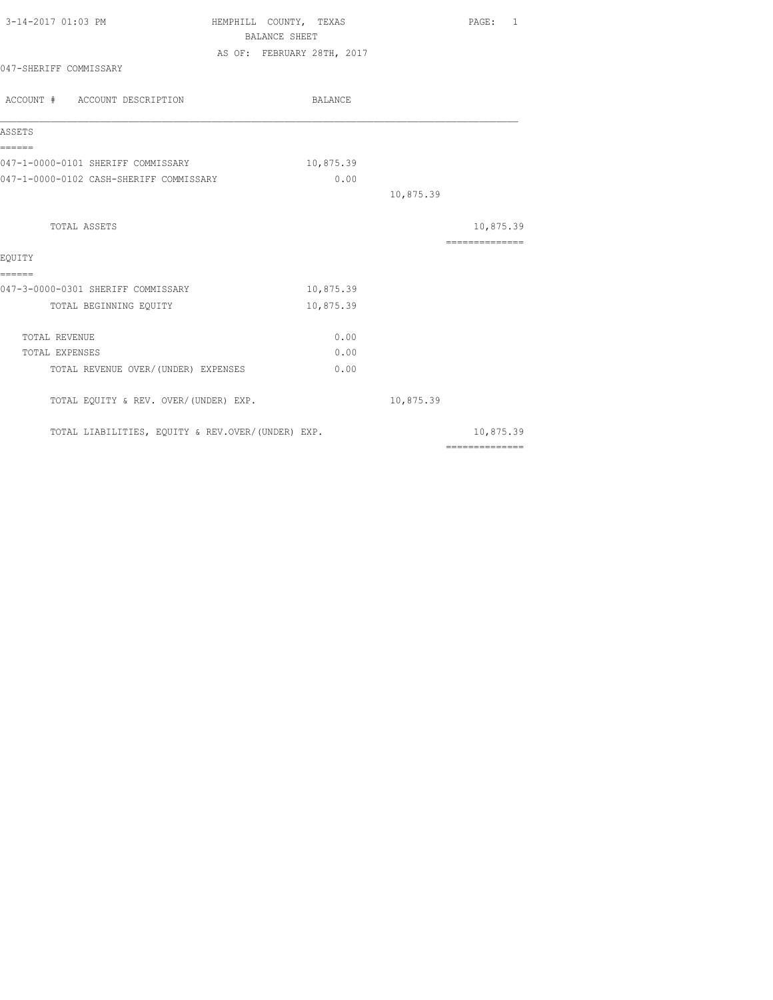| 3-14-2017 01:03 PM                                | HEMPHILL COUNTY, TEXAS     |           | PAGE: 1                                                                                                                                                                                                                                                                                                                                                                                                                                                                                |
|---------------------------------------------------|----------------------------|-----------|----------------------------------------------------------------------------------------------------------------------------------------------------------------------------------------------------------------------------------------------------------------------------------------------------------------------------------------------------------------------------------------------------------------------------------------------------------------------------------------|
|                                                   | BALANCE SHEET              |           |                                                                                                                                                                                                                                                                                                                                                                                                                                                                                        |
|                                                   | AS OF: FEBRUARY 28TH, 2017 |           |                                                                                                                                                                                                                                                                                                                                                                                                                                                                                        |
| 047-SHERIFF COMMISSARY                            |                            |           |                                                                                                                                                                                                                                                                                                                                                                                                                                                                                        |
| ACCOUNT # ACCOUNT DESCRIPTION                     | BALANCE                    |           |                                                                                                                                                                                                                                                                                                                                                                                                                                                                                        |
| ASSETS                                            |                            |           |                                                                                                                                                                                                                                                                                                                                                                                                                                                                                        |
| ======<br>047-1-0000-0101 SHERIFF COMMISSARY      | 10,875.39                  |           |                                                                                                                                                                                                                                                                                                                                                                                                                                                                                        |
| 047-1-0000-0102 CASH-SHERIFF COMMISSARY           | 0.00                       |           |                                                                                                                                                                                                                                                                                                                                                                                                                                                                                        |
|                                                   |                            | 10,875.39 |                                                                                                                                                                                                                                                                                                                                                                                                                                                                                        |
| TOTAL ASSETS                                      |                            |           | 10,875.39                                                                                                                                                                                                                                                                                                                                                                                                                                                                              |
| EQUITY                                            |                            |           | $\begin{array}{cccccccccc} \multicolumn{2}{c}{} & \multicolumn{2}{c}{} & \multicolumn{2}{c}{} & \multicolumn{2}{c}{} & \multicolumn{2}{c}{} & \multicolumn{2}{c}{} & \multicolumn{2}{c}{} & \multicolumn{2}{c}{} & \multicolumn{2}{c}{} & \multicolumn{2}{c}{} & \multicolumn{2}{c}{} & \multicolumn{2}{c}{} & \multicolumn{2}{c}{} & \multicolumn{2}{c}{} & \multicolumn{2}{c}{} & \multicolumn{2}{c}{} & \multicolumn{2}{c}{} & \multicolumn{2}{c}{} & \multicolumn{2}{c}{} & \mult$ |
| ======                                            |                            |           |                                                                                                                                                                                                                                                                                                                                                                                                                                                                                        |
| 047-3-0000-0301 SHERIFF COMMISSARY                | 10,875.39                  |           |                                                                                                                                                                                                                                                                                                                                                                                                                                                                                        |
| TOTAL BEGINNING EQUITY                            | 10,875.39                  |           |                                                                                                                                                                                                                                                                                                                                                                                                                                                                                        |
| TOTAL REVENUE                                     | 0.00                       |           |                                                                                                                                                                                                                                                                                                                                                                                                                                                                                        |
| TOTAL EXPENSES                                    | 0.00                       |           |                                                                                                                                                                                                                                                                                                                                                                                                                                                                                        |
| TOTAL REVENUE OVER/ (UNDER) EXPENSES              | 0.00                       |           |                                                                                                                                                                                                                                                                                                                                                                                                                                                                                        |
| TOTAL EQUITY & REV. OVER/(UNDER) EXP.             |                            | 10,875.39 |                                                                                                                                                                                                                                                                                                                                                                                                                                                                                        |
| TOTAL LIABILITIES, EQUITY & REV.OVER/(UNDER) EXP. |                            |           | 10,875.39                                                                                                                                                                                                                                                                                                                                                                                                                                                                              |
|                                                   |                            |           | $2222222222222222$                                                                                                                                                                                                                                                                                                                                                                                                                                                                     |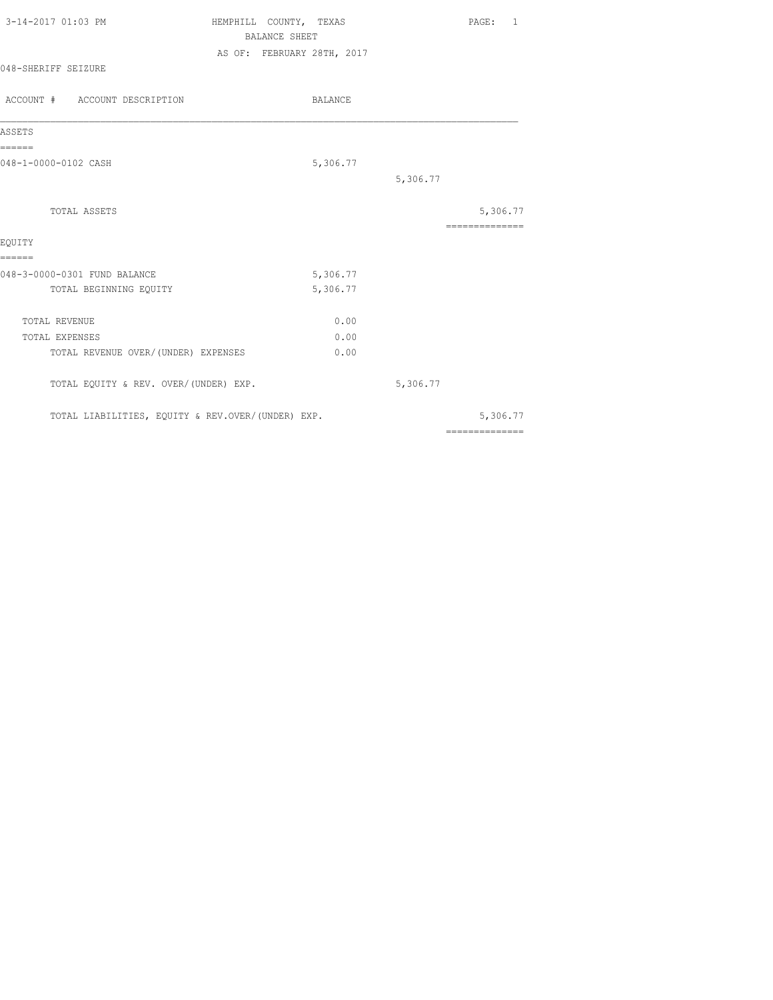| 3-14-2017 01:03 PM  | HEMPHILL COUNTY, TEXAS     | PAGE: |  |
|---------------------|----------------------------|-------|--|
|                     | BALANCE SHEET              |       |  |
|                     | AS OF: FEBRUARY 28TH, 2017 |       |  |
| 048-SHERIFF SEIZURE |                            |       |  |
|                     |                            |       |  |

| ACCOUNT # ACCOUNT DESCRIPTION                     | <b>BALANCE</b> |          |                                                                                                                                                                                                                                                                                                                                                                                                                                                                                              |
|---------------------------------------------------|----------------|----------|----------------------------------------------------------------------------------------------------------------------------------------------------------------------------------------------------------------------------------------------------------------------------------------------------------------------------------------------------------------------------------------------------------------------------------------------------------------------------------------------|
| ASSETS                                            |                |          |                                                                                                                                                                                                                                                                                                                                                                                                                                                                                              |
| ======                                            |                |          |                                                                                                                                                                                                                                                                                                                                                                                                                                                                                              |
| 048-1-0000-0102 CASH                              | 5,306.77       |          |                                                                                                                                                                                                                                                                                                                                                                                                                                                                                              |
|                                                   |                | 5,306.77 |                                                                                                                                                                                                                                                                                                                                                                                                                                                                                              |
| TOTAL ASSETS                                      |                |          | 5,306.77                                                                                                                                                                                                                                                                                                                                                                                                                                                                                     |
| EQUITY                                            |                |          | ==============                                                                                                                                                                                                                                                                                                                                                                                                                                                                               |
| ======<br>048-3-0000-0301 FUND BALANCE            | 5,306.77       |          |                                                                                                                                                                                                                                                                                                                                                                                                                                                                                              |
| TOTAL BEGINNING EQUITY                            | 5,306.77       |          |                                                                                                                                                                                                                                                                                                                                                                                                                                                                                              |
| TOTAL REVENUE                                     | 0.00           |          |                                                                                                                                                                                                                                                                                                                                                                                                                                                                                              |
| TOTAL EXPENSES                                    | 0.00           |          |                                                                                                                                                                                                                                                                                                                                                                                                                                                                                              |
| TOTAL REVENUE OVER/ (UNDER) EXPENSES              | 0.00           |          |                                                                                                                                                                                                                                                                                                                                                                                                                                                                                              |
| TOTAL EQUITY & REV. OVER/(UNDER) EXP.             |                | 5,306.77 |                                                                                                                                                                                                                                                                                                                                                                                                                                                                                              |
| TOTAL LIABILITIES, EQUITY & REV.OVER/(UNDER) EXP. |                |          | 5,306.77                                                                                                                                                                                                                                                                                                                                                                                                                                                                                     |
|                                                   |                |          | $\begin{array}{c} \multicolumn{2}{c} {\textbf{1}} & \multicolumn{2}{c} {\textbf{2}} & \multicolumn{2}{c} {\textbf{3}} & \multicolumn{2}{c} {\textbf{4}} \\ \multicolumn{2}{c} {\textbf{5}} & \multicolumn{2}{c} {\textbf{6}} & \multicolumn{2}{c} {\textbf{7}} & \multicolumn{2}{c} {\textbf{8}} & \multicolumn{2}{c} {\textbf{9}} \\ \multicolumn{2}{c} {\textbf{1}} & \multicolumn{2}{c} {\textbf{1}} & \multicolumn{2}{c} {\textbf{1}} & \multicolumn{2}{c} {\textbf{1}} & \multicolumn{$ |